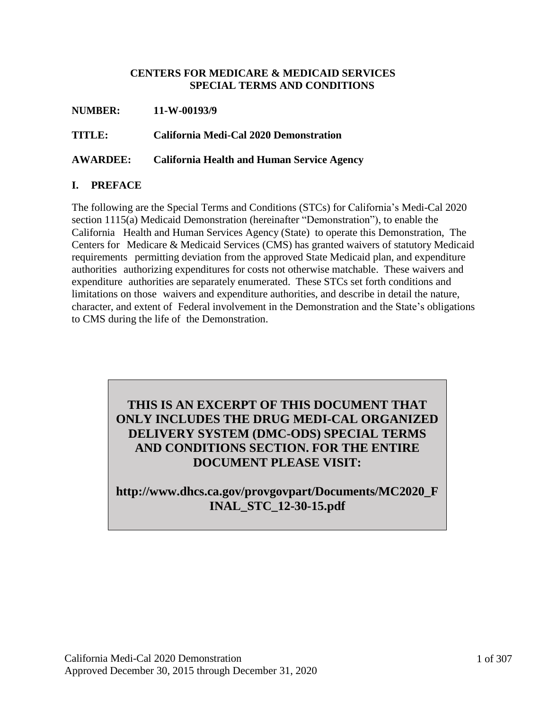#### **CENTERS FOR MEDICARE & MEDICAID SERVICES SPECIAL TERMS AND CONDITIONS**

| <b>NUMBER:</b>  | 11-W-00193/9                                      |
|-----------------|---------------------------------------------------|
| <b>TITLE:</b>   | California Medi-Cal 2020 Demonstration            |
| <b>AWARDEE:</b> | <b>California Health and Human Service Agency</b> |

## **I. PREFACE**

The following are the Special Terms and Conditions (STCs) for California's Medi-Cal 2020 section 1115(a) Medicaid Demonstration (hereinafter "Demonstration"), to enable the California Health and Human Services Agency (State) to operate this Demonstration, The Centers for Medicare & Medicaid Services (CMS) has granted waivers of statutory Medicaid requirements permitting deviation from the approved State Medicaid plan, and expenditure authorities authorizing expenditures for costs not otherwise matchable. These waivers and expenditure authorities are separately enumerated. These STCs set forth conditions and limitations on those waivers and expenditure authorities, and describe in detail the nature, character, and extent of Federal involvement in the Demonstration and the State's obligations to CMS during the life of the Demonstration.

# **THIS IS AN EXCERPT OF THIS DOCUMENT THAT ONLY INCLUDES THE DRUG MEDI-CAL ORGANIZED DELIVERY SYSTEM (DMC-ODS) SPECIAL TERMS AND CONDITIONS SECTION. FOR THE ENTIRE DOCUMENT PLEASE VISIT:**

# **http://www.dhcs.ca.gov/provgovpart/Documents/MC2020\_F INAL\_STC\_12-30-15.pdf**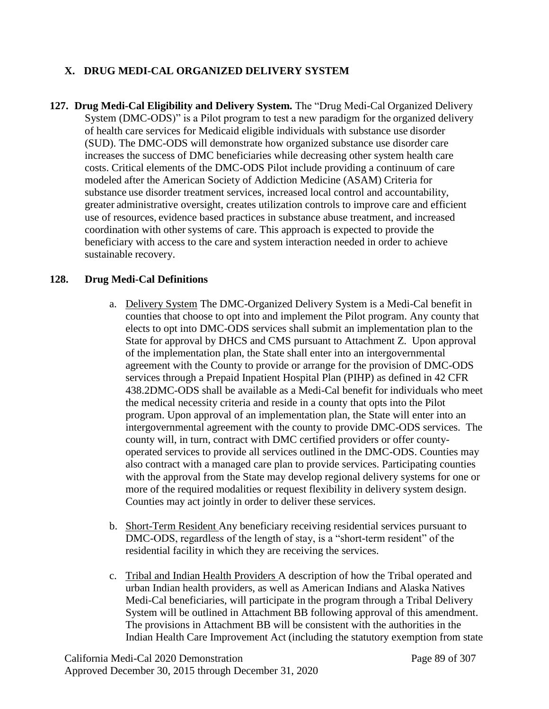## **X. DRUG MEDI-CAL ORGANIZED DELIVERY SYSTEM**

**127. Drug Medi-Cal Eligibility and Delivery System.** The "Drug Medi-Cal Organized Delivery System (DMC-ODS)" is a Pilot program to test a new paradigm for the organized delivery of health care services for Medicaid eligible individuals with substance use disorder (SUD). The DMC-ODS will demonstrate how organized substance use disorder care increases the success of DMC beneficiaries while decreasing other system health care costs. Critical elements of the DMC-ODS Pilot include providing a continuum of care modeled after the American Society of Addiction Medicine (ASAM) Criteria for substance use disorder treatment services, increased local control and accountability, greater administrative oversight, creates utilization controls to improve care and efficient use of resources, evidence based practices in substance abuse treatment, and increased coordination with other systems of care. This approach is expected to provide the beneficiary with access to the care and system interaction needed in order to achieve sustainable recovery.

## **128. Drug Medi-Cal Definitions**

- a. Delivery System The DMC-Organized Delivery System is a Medi-Cal benefit in counties that choose to opt into and implement the Pilot program. Any county that elects to opt into DMC-ODS services shall submit an implementation plan to the State for approval by DHCS and CMS pursuant to Attachment Z. Upon approval of the implementation plan, the State shall enter into an intergovernmental agreement with the County to provide or arrange for the provision of DMC-ODS services through a Prepaid Inpatient Hospital Plan (PIHP) as defined in 42 CFR 438.2DMC-ODS shall be available as a Medi-Cal benefit for individuals who meet the medical necessity criteria and reside in a county that opts into the Pilot program. Upon approval of an implementation plan, the State will enter into an intergovernmental agreement with the county to provide DMC-ODS services. The county will, in turn, contract with DMC certified providers or offer countyoperated services to provide all services outlined in the DMC-ODS. Counties may also contract with a managed care plan to provide services. Participating counties with the approval from the State may develop regional delivery systems for one or more of the required modalities or request flexibility in delivery system design. Counties may act jointly in order to deliver these services.
- b. Short-Term Resident Any beneficiary receiving residential services pursuant to DMC-ODS, regardless of the length of stay, is a "short-term resident" of the residential facility in which they are receiving the services.
- c. Tribal and Indian Health Providers A description of how the Tribal operated and urban Indian health providers, as well as American Indians and Alaska Natives Medi-Cal beneficiaries, will participate in the program through a Tribal Delivery System will be outlined in Attachment BB following approval of this amendment. The provisions in Attachment BB will be consistent with the authorities in the Indian Health Care Improvement Act (including the statutory exemption from state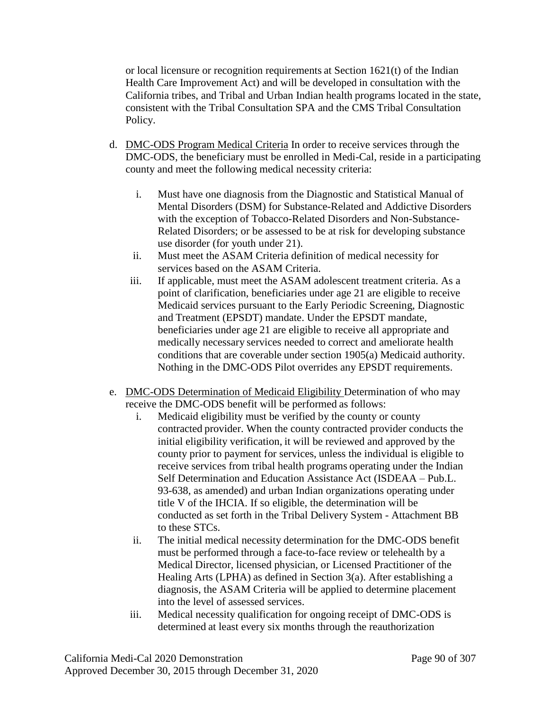or local licensure or recognition requirements at Section 1621(t) of the Indian Health Care Improvement Act) and will be developed in consultation with the California tribes, and Tribal and Urban Indian health programs located in the state, consistent with the Tribal Consultation SPA and the CMS Tribal Consultation Policy.

- d. DMC-ODS Program Medical Criteria In order to receive services through the DMC-ODS, the beneficiary must be enrolled in Medi-Cal, reside in a participating county and meet the following medical necessity criteria:
	- i. Must have one diagnosis from the Diagnostic and Statistical Manual of Mental Disorders (DSM) for Substance-Related and Addictive Disorders with the exception of Tobacco-Related Disorders and Non-Substance-Related Disorders; or be assessed to be at risk for developing substance use disorder (for youth under 21).
	- ii. Must meet the ASAM Criteria definition of medical necessity for services based on the ASAM Criteria.
	- iii. If applicable, must meet the ASAM adolescent treatment criteria. As a point of clarification, beneficiaries under age 21 are eligible to receive Medicaid services pursuant to the Early Periodic Screening, Diagnostic and Treatment (EPSDT) mandate. Under the EPSDT mandate, beneficiaries under age 21 are eligible to receive all appropriate and medically necessary services needed to correct and ameliorate health conditions that are coverable under section 1905(a) Medicaid authority. Nothing in the DMC-ODS Pilot overrides any EPSDT requirements.
- e. DMC-ODS Determination of Medicaid Eligibility Determination of who may receive the DMC-ODS benefit will be performed as follows:
	- i. Medicaid eligibility must be verified by the county or county contracted provider. When the county contracted provider conducts the initial eligibility verification, it will be reviewed and approved by the county prior to payment for services, unless the individual is eligible to receive services from tribal health programs operating under the Indian Self Determination and Education Assistance Act (ISDEAA – Pub.L. 93-638, as amended) and urban Indian organizations operating under title V of the IHCIA. If so eligible, the determination will be conducted as set forth in the Tribal Delivery System - Attachment BB to these STCs.
	- ii. The initial medical necessity determination for the DMC-ODS benefit must be performed through a face-to-face review or telehealth by a Medical Director, licensed physician, or Licensed Practitioner of the Healing Arts (LPHA) as defined in Section 3(a). After establishing a diagnosis, the ASAM Criteria will be applied to determine placement into the level of assessed services.
	- iii. Medical necessity qualification for ongoing receipt of DMC-ODS is determined at least every six months through the reauthorization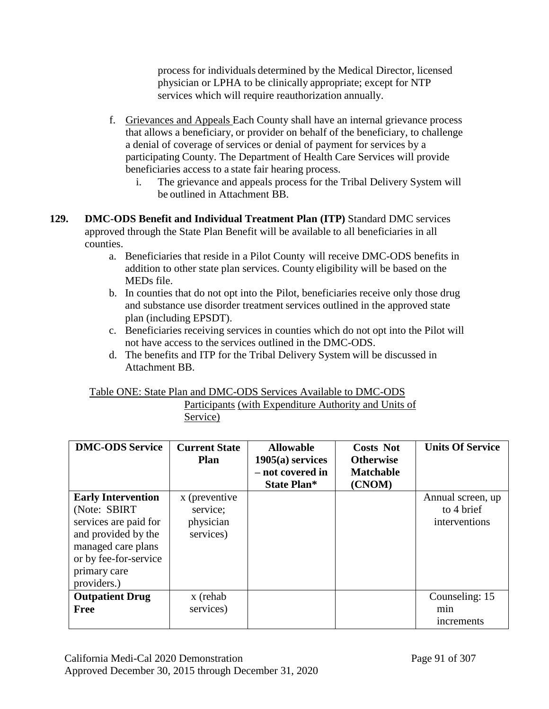process for individuals determined by the Medical Director, licensed physician or LPHA to be clinically appropriate; except for NTP services which will require reauthorization annually.

- f. Grievances and Appeals Each County shall have an internal grievance process that allows a beneficiary, or provider on behalf of the beneficiary, to challenge a denial of coverage of services or denial of payment for services by a participating County. The Department of Health Care Services will provide beneficiaries access to a state fair hearing process.
	- i. The grievance and appeals process for the Tribal Delivery System will be outlined in Attachment BB.
- **129. DMC-ODS Benefit and Individual Treatment Plan (ITP)** Standard DMC services approved through the State Plan Benefit will be available to all beneficiaries in all counties.
	- a. Beneficiaries that reside in a Pilot County will receive DMC-ODS benefits in addition to other state plan services. County eligibility will be based on the MEDs file.
	- b. In counties that do not opt into the Pilot, beneficiaries receive only those drug and substance use disorder treatment services outlined in the approved state plan (including EPSDT).
	- c. Beneficiaries receiving services in counties which do not opt into the Pilot will not have access to the services outlined in the DMC-ODS.
	- d. The benefits and ITP for the Tribal Delivery System will be discussed in Attachment BB.

| Table ONE: State Plan and DMC-ODS Services Available to DMC-ODS |  |  |
|-----------------------------------------------------------------|--|--|
|                                                                 |  |  |

Participants (with Expenditure Authority and Units of Service)

| <b>DMC-ODS Service</b>                                                                                                                                                   | <b>Current State</b><br><b>Plan</b>                 | <b>Allowable</b><br>$1905(a)$ services<br>- not covered in<br><b>State Plan*</b> | <b>Costs Not</b><br><b>Otherwise</b><br><b>Matchable</b><br>(CNOM) | <b>Units Of Service</b>                          |
|--------------------------------------------------------------------------------------------------------------------------------------------------------------------------|-----------------------------------------------------|----------------------------------------------------------------------------------|--------------------------------------------------------------------|--------------------------------------------------|
| <b>Early Intervention</b><br>(Note: SBIRT)<br>services are paid for<br>and provided by the<br>managed care plans<br>or by fee-for-service<br>primary care<br>providers.) | x (preventive<br>service;<br>physician<br>services) |                                                                                  |                                                                    | Annual screen, up<br>to 4 brief<br>interventions |
| <b>Outpatient Drug</b><br><b>Free</b>                                                                                                                                    | x (rehab<br>services)                               |                                                                                  |                                                                    | Counseling: 15<br>min<br>increments              |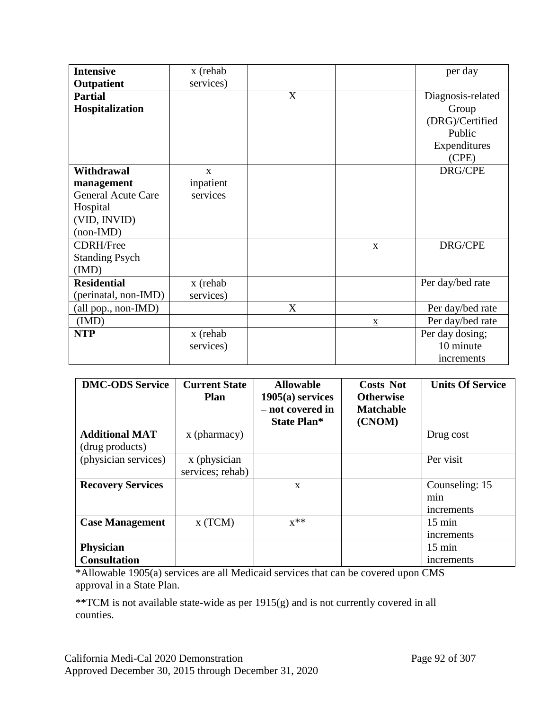| <b>Intensive</b>             | x (rehab     |   |                          | per day           |
|------------------------------|--------------|---|--------------------------|-------------------|
| Outpatient                   | services)    |   |                          |                   |
| <b>Partial</b>               |              | X |                          | Diagnosis-related |
| Hospitalization              |              |   |                          | Group             |
|                              |              |   |                          | (DRG)/Certified   |
|                              |              |   |                          | Public            |
|                              |              |   |                          | Expenditures      |
|                              |              |   |                          | (CPE)             |
| <b>Withdrawal</b>            | $\mathbf{X}$ |   |                          | DRG/CPE           |
| management                   | inpatient    |   |                          |                   |
| <b>General Acute Care</b>    | services     |   |                          |                   |
| Hospital                     |              |   |                          |                   |
| (VID, INVID)                 |              |   |                          |                   |
| $(non-IMD)$                  |              |   |                          |                   |
| <b>CDRH/Free</b>             |              |   | X                        | DRG/CPE           |
| <b>Standing Psych</b>        |              |   |                          |                   |
| (IMD)                        |              |   |                          |                   |
| <b>Residential</b>           | x (rehab     |   |                          | Per day/bed rate  |
| (perinatal, non-IMD)         | services)    |   |                          |                   |
| $\text{(all pop., non-IMD)}$ |              | X |                          | Per day/bed rate  |
| (MD)                         |              |   | $\underline{\mathbf{X}}$ | Per day/bed rate  |
| <b>NTP</b>                   | x (rehab     |   |                          | Per day dosing;   |
|                              | services)    |   |                          | 10 minute         |
|                              |              |   |                          | increments        |

| <b>DMC-ODS Service</b>                            | <b>Current State</b><br><b>Plan</b> | <b>Allowable</b><br>$1905(a)$ services<br>- not covered in<br><b>State Plan*</b> | <b>Costs Not</b><br><b>Otherwise</b><br><b>Matchable</b><br>(CNOM) | <b>Units Of Service</b> |
|---------------------------------------------------|-------------------------------------|----------------------------------------------------------------------------------|--------------------------------------------------------------------|-------------------------|
| <b>Additional MAT</b>                             | x (pharmacy)                        |                                                                                  |                                                                    | Drug cost               |
| (drug products)                                   |                                     |                                                                                  |                                                                    |                         |
| (physician services)                              | x (physician                        |                                                                                  |                                                                    | Per visit               |
|                                                   | services; rehab)                    |                                                                                  |                                                                    |                         |
| <b>Recovery Services</b>                          |                                     | X                                                                                |                                                                    | Counseling: 15          |
|                                                   |                                     |                                                                                  |                                                                    | min                     |
|                                                   |                                     |                                                                                  |                                                                    | increments              |
| <b>Case Management</b>                            | x(TCM)                              | $x^{**}$                                                                         |                                                                    | $15 \text{ min}$        |
|                                                   |                                     |                                                                                  |                                                                    | increments              |
| <b>Physician</b>                                  |                                     |                                                                                  |                                                                    | $15 \text{ min}$        |
| <b>Consultation</b><br>$\cdots$ $\cdots$ $\cdots$ | .                                   | $\sim$ $\sim$                                                                    |                                                                    | increments              |

\*Allowable 1905(a) services are all Medicaid services that can be covered upon CMS approval in a State Plan.

\*\*TCM is not available state-wide as per 1915(g) and is not currently covered in all counties.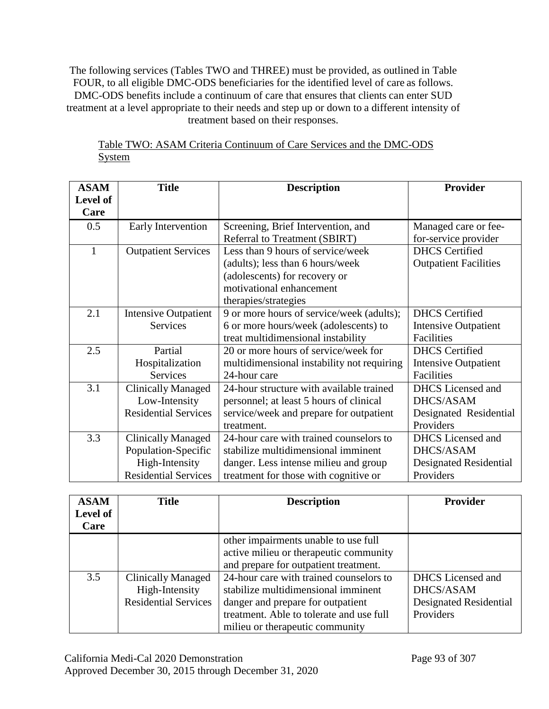The following services (Tables TWO and THREE) must be provided, as outlined in Table FOUR, to all eligible DMC-ODS beneficiaries for the identified level of care as follows. DMC-ODS benefits include a continuum of care that ensures that clients can enter SUD treatment at a level appropriate to their needs and step up or down to a different intensity of treatment based on their responses.

| <b>ASAM</b> | <b>Title</b>                | <b>Description</b>                         | <b>Provider</b>              |
|-------------|-----------------------------|--------------------------------------------|------------------------------|
| Level of    |                             |                                            |                              |
| Care        |                             |                                            |                              |
| 0.5         | Early Intervention          | Screening, Brief Intervention, and         | Managed care or fee-         |
|             |                             | <b>Referral to Treatment (SBIRT)</b>       | for-service provider         |
| 1           | <b>Outpatient Services</b>  | Less than 9 hours of service/week          | <b>DHCS</b> Certified        |
|             |                             | (adults); less than 6 hours/week           | <b>Outpatient Facilities</b> |
|             |                             | (adolescents) for recovery or              |                              |
|             |                             | motivational enhancement                   |                              |
|             |                             | therapies/strategies                       |                              |
| 2.1         | <b>Intensive Outpatient</b> | 9 or more hours of service/week (adults);  | <b>DHCS</b> Certified        |
|             | <b>Services</b>             | 6 or more hours/week (adolescents) to      | <b>Intensive Outpatient</b>  |
|             |                             | treat multidimensional instability         | Facilities                   |
| 2.5         | Partial                     | 20 or more hours of service/week for       | <b>DHCS</b> Certified        |
|             | Hospitalization             | multidimensional instability not requiring | <b>Intensive Outpatient</b>  |
|             | <b>Services</b>             | 24-hour care                               | Facilities                   |
| 3.1         | <b>Clinically Managed</b>   | 24-hour structure with available trained   | <b>DHCS</b> Licensed and     |
|             | Low-Intensity               | personnel; at least 5 hours of clinical    | <b>DHCS/ASAM</b>             |
|             | <b>Residential Services</b> | service/week and prepare for outpatient    | Designated Residential       |
|             |                             | treatment.                                 | Providers                    |
| 3.3         | <b>Clinically Managed</b>   | 24-hour care with trained counselors to    | <b>DHCS</b> Licensed and     |
|             | Population-Specific         | stabilize multidimensional imminent        | <b>DHCS/ASAM</b>             |
|             | High-Intensity              | danger. Less intense milieu and group      | Designated Residential       |
|             | <b>Residential Services</b> | treatment for those with cognitive or      | Providers                    |

# Table TWO: ASAM Criteria Continuum of Care Services and the DMC-ODS System

| <b>ASAM</b> | <b>Title</b>                | <b>Description</b>                       | <b>Provider</b>          |
|-------------|-----------------------------|------------------------------------------|--------------------------|
| Level of    |                             |                                          |                          |
| Care        |                             |                                          |                          |
|             |                             | other impairments unable to use full     |                          |
|             |                             | active milieu or therapeutic community   |                          |
|             |                             | and prepare for outpatient treatment.    |                          |
| 3.5         | <b>Clinically Managed</b>   | 24-hour care with trained counselors to  | <b>DHCS</b> Licensed and |
|             | High-Intensity              | stabilize multidimensional imminent      | DHCS/ASAM                |
|             | <b>Residential Services</b> | danger and prepare for outpatient        | Designated Residential   |
|             |                             | treatment. Able to tolerate and use full | Providers                |
|             |                             | milieu or therapeutic community          |                          |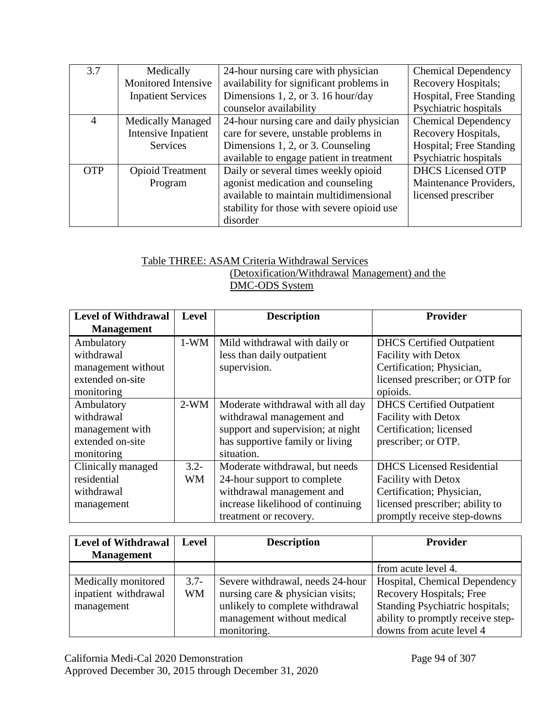| 3.7        | Medically                 | 24-hour nursing care with physician        | <b>Chemical Dependency</b> |
|------------|---------------------------|--------------------------------------------|----------------------------|
|            | Monitored Intensive       | availability for significant problems in   | Recovery Hospitals;        |
|            | <b>Inpatient Services</b> | Dimensions 1, 2, or 3. 16 hour/day         | Hospital, Free Standing    |
|            |                           | counselor availability                     | Psychiatric hospitals      |
| 4          | <b>Medically Managed</b>  | 24-hour nursing care and daily physician   | <b>Chemical Dependency</b> |
|            | Intensive Inpatient       | care for severe, unstable problems in      | Recovery Hospitals,        |
|            | <b>Services</b>           | Dimensions 1, 2, or 3. Counseling          | Hospital; Free Standing    |
|            |                           | available to engage patient in treatment   | Psychiatric hospitals      |
| <b>OTP</b> | <b>Opioid Treatment</b>   | Daily or several times weekly opioid       | <b>DHCS</b> Licensed OTP   |
|            | Program                   | agonist medication and counseling          | Maintenance Providers,     |
|            |                           | available to maintain multidimensional     | licensed prescriber        |
|            |                           | stability for those with severe opioid use |                            |
|            |                           | disorder                                   |                            |

#### Table THREE: ASAM Criteria Withdrawal Services (Detoxification/Withdrawal Management) and the DMC-ODS System

| <b>Level of Withdrawal</b> | <b>Level</b> | <b>Description</b>                | <b>Provider</b>                  |
|----------------------------|--------------|-----------------------------------|----------------------------------|
| <b>Management</b>          |              |                                   |                                  |
| Ambulatory                 | $1-WM$       | Mild withdrawal with daily or     | <b>DHCS</b> Certified Outpatient |
| withdrawal                 |              | less than daily outpatient        | <b>Facility with Detox</b>       |
| management without         |              | supervision.                      | Certification; Physician,        |
| extended on-site           |              |                                   | licensed prescriber; or OTP for  |
| monitoring                 |              |                                   | opioids.                         |
| Ambulatory                 | $2-WM$       | Moderate withdrawal with all day  | <b>DHCS</b> Certified Outpatient |
| withdrawal                 |              | withdrawal management and         | <b>Facility with Detox</b>       |
| management with            |              | support and supervision; at night | Certification; licensed          |
| extended on-site           |              | has supportive family or living   | prescriber; or OTP.              |
| monitoring                 |              | situation.                        |                                  |
| Clinically managed         | $3.2 -$      | Moderate withdrawal, but needs    | <b>DHCS</b> Licensed Residential |
| residential                | <b>WM</b>    | 24-hour support to complete       | <b>Facility with Detox</b>       |
| withdrawal                 |              | withdrawal management and         | Certification; Physician,        |
| management                 |              | increase likelihood of continuing | licensed prescriber; ability to  |
|                            |              | treatment or recovery.            | promptly receive step-downs      |

| <b>Level of Withdrawal</b><br><b>Management</b>           | <b>Level</b>        | <b>Description</b>                                                                                                                    | <b>Provider</b>                                                                                                                          |
|-----------------------------------------------------------|---------------------|---------------------------------------------------------------------------------------------------------------------------------------|------------------------------------------------------------------------------------------------------------------------------------------|
|                                                           |                     |                                                                                                                                       | from acute level 4.                                                                                                                      |
| Medically monitored<br>inpatient withdrawal<br>management | $3.7-$<br><b>WM</b> | Severe withdrawal, needs 24-hour<br>nursing care & physician visits;<br>unlikely to complete withdrawal<br>management without medical | Hospital, Chemical Dependency<br>Recovery Hospitals; Free<br><b>Standing Psychiatric hospitals;</b><br>ability to promptly receive step- |
|                                                           |                     | monitoring.                                                                                                                           | downs from acute level 4                                                                                                                 |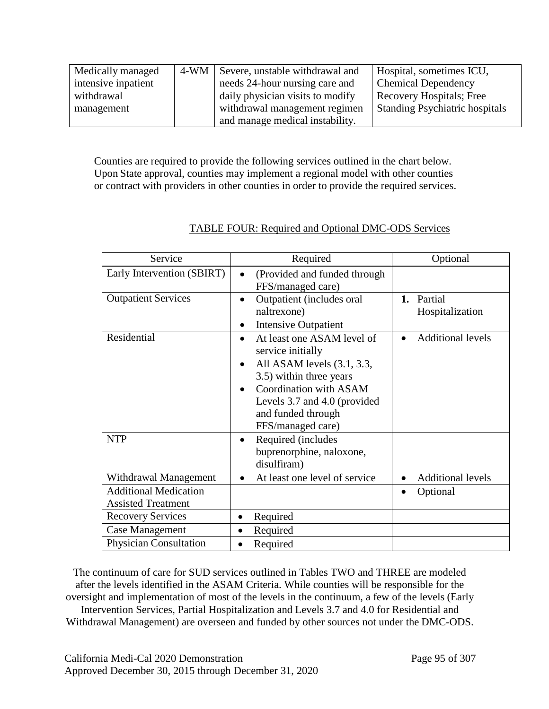| Medically managed   | 4-WM Severe, unstable withdrawal and | Hospital, sometimes ICU,              |
|---------------------|--------------------------------------|---------------------------------------|
| intensive inpatient | needs 24-hour nursing care and       | <b>Chemical Dependency</b>            |
| withdrawal          | daily physician visits to modify     | <b>Recovery Hospitals</b> ; Free      |
| management          | withdrawal management regimen        | <b>Standing Psychiatric hospitals</b> |
|                     | and manage medical instability.      |                                       |

Counties are required to provide the following services outlined in the chart below. Upon State approval, counties may implement a regional model with other counties or contract with providers in other counties in order to provide the required services.

| Service                       | Required                                                                                                                                                                                                           | Optional                              |
|-------------------------------|--------------------------------------------------------------------------------------------------------------------------------------------------------------------------------------------------------------------|---------------------------------------|
| Early Intervention (SBIRT)    | (Provided and funded through<br>FFS/managed care)                                                                                                                                                                  |                                       |
| <b>Outpatient Services</b>    | Outpatient (includes oral<br>$\bullet$<br>naltrexone)<br><b>Intensive Outpatient</b>                                                                                                                               | 1. Partial<br>Hospitalization         |
| Residential                   | At least one ASAM level of<br>service initially<br>All ASAM levels (3.1, 3.3,<br>٠<br>3.5) within three years<br>Coordination with ASAM<br>Levels 3.7 and 4.0 (provided<br>and funded through<br>FFS/managed care) | <b>Additional levels</b>              |
| <b>NTP</b>                    | Required (includes<br>٠<br>buprenorphine, naloxone,<br>disulfiram)                                                                                                                                                 |                                       |
| Withdrawal Management         | At least one level of service<br>$\bullet$                                                                                                                                                                         | <b>Additional levels</b><br>$\bullet$ |
| <b>Additional Medication</b>  |                                                                                                                                                                                                                    | Optional                              |
| <b>Assisted Treatment</b>     |                                                                                                                                                                                                                    |                                       |
| <b>Recovery Services</b>      | Required<br>$\bullet$                                                                                                                                                                                              |                                       |
| Case Management               | Required                                                                                                                                                                                                           |                                       |
| <b>Physician Consultation</b> | Required                                                                                                                                                                                                           |                                       |

## TABLE FOUR: Required and Optional DMC-ODS Services

The continuum of care for SUD services outlined in Tables TWO and THREE are modeled after the levels identified in the ASAM Criteria. While counties will be responsible for the oversight and implementation of most of the levels in the continuum, a few of the levels (Early Intervention Services, Partial Hospitalization and Levels 3.7 and 4.0 for Residential and Withdrawal Management) are overseen and funded by other sources not under the DMC-ODS.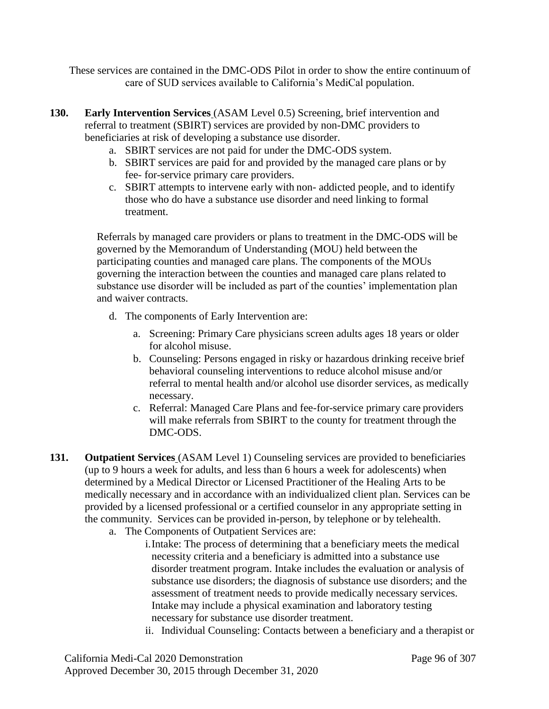These services are contained in the DMC-ODS Pilot in order to show the entire continuum of care of SUD services available to California's MediCal population.

- **130. Early Intervention Services** (ASAM Level 0.5) Screening, brief intervention and referral to treatment (SBIRT) services are provided by non-DMC providers to beneficiaries at risk of developing a substance use disorder.
	- a. SBIRT services are not paid for under the DMC-ODS system.
	- b. SBIRT services are paid for and provided by the managed care plans or by fee- for-service primary care providers.
	- c. SBIRT attempts to intervene early with non- addicted people, and to identify those who do have a substance use disorder and need linking to formal treatment.

Referrals by managed care providers or plans to treatment in the DMC-ODS will be governed by the Memorandum of Understanding (MOU) held between the participating counties and managed care plans. The components of the MOUs governing the interaction between the counties and managed care plans related to substance use disorder will be included as part of the counties' implementation plan and waiver contracts.

- d. The components of Early Intervention are:
	- a. Screening: Primary Care physicians screen adults ages 18 years or older for alcohol misuse.
	- b. Counseling: Persons engaged in risky or hazardous drinking receive brief behavioral counseling interventions to reduce alcohol misuse and/or referral to mental health and/or alcohol use disorder services, as medically necessary.
	- c. Referral: Managed Care Plans and fee-for-service primary care providers will make referrals from SBIRT to the county for treatment through the DMC-ODS.
- **131. Outpatient Services** (ASAM Level 1) Counseling services are provided to beneficiaries (up to 9 hours a week for adults, and less than 6 hours a week for adolescents) when determined by a Medical Director or Licensed Practitioner of the Healing Arts to be medically necessary and in accordance with an individualized client plan. Services can be provided by a licensed professional or a certified counselor in any appropriate setting in the community. Services can be provided in-person, by telephone or by telehealth.
	- a. The Components of Outpatient Services are:
		- i.Intake: The process of determining that a beneficiary meets the medical necessity criteria and a beneficiary is admitted into a substance use disorder treatment program. Intake includes the evaluation or analysis of substance use disorders; the diagnosis of substance use disorders; and the assessment of treatment needs to provide medically necessary services. Intake may include a physical examination and laboratory testing necessary for substance use disorder treatment.
		- ii. Individual Counseling: Contacts between a beneficiary and a therapist or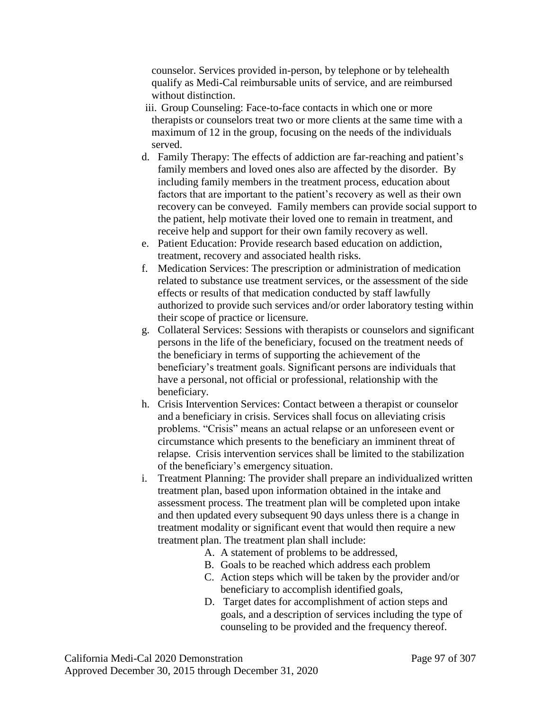counselor. Services provided in-person, by telephone or by telehealth qualify as Medi-Cal reimbursable units of service, and are reimbursed without distinction.

- iii. Group Counseling: Face-to-face contacts in which one or more therapists or counselors treat two or more clients at the same time with a maximum of 12 in the group, focusing on the needs of the individuals served.
- d. Family Therapy: The effects of addiction are far-reaching and patient's family members and loved ones also are affected by the disorder. By including family members in the treatment process, education about factors that are important to the patient's recovery as well as their own recovery can be conveyed. Family members can provide social support to the patient, help motivate their loved one to remain in treatment, and receive help and support for their own family recovery as well.
- e. Patient Education: Provide research based education on addiction, treatment, recovery and associated health risks.
- f. Medication Services: The prescription or administration of medication related to substance use treatment services, or the assessment of the side effects or results of that medication conducted by staff lawfully authorized to provide such services and/or order laboratory testing within their scope of practice or licensure.
- g. Collateral Services: Sessions with therapists or counselors and significant persons in the life of the beneficiary, focused on the treatment needs of the beneficiary in terms of supporting the achievement of the beneficiary's treatment goals. Significant persons are individuals that have a personal, not official or professional, relationship with the beneficiary.
- h. Crisis Intervention Services: Contact between a therapist or counselor and a beneficiary in crisis. Services shall focus on alleviating crisis problems. "Crisis" means an actual relapse or an unforeseen event or circumstance which presents to the beneficiary an imminent threat of relapse. Crisis intervention services shall be limited to the stabilization of the beneficiary's emergency situation.
- i. Treatment Planning: The provider shall prepare an individualized written treatment plan, based upon information obtained in the intake and assessment process. The treatment plan will be completed upon intake and then updated every subsequent 90 days unless there is a change in treatment modality or significant event that would then require a new treatment plan. The treatment plan shall include:
	- A. A statement of problems to be addressed,
	- B. Goals to be reached which address each problem
	- C. Action steps which will be taken by the provider and/or beneficiary to accomplish identified goals,
	- D. Target dates for accomplishment of action steps and goals, and a description of services including the type of counseling to be provided and the frequency thereof.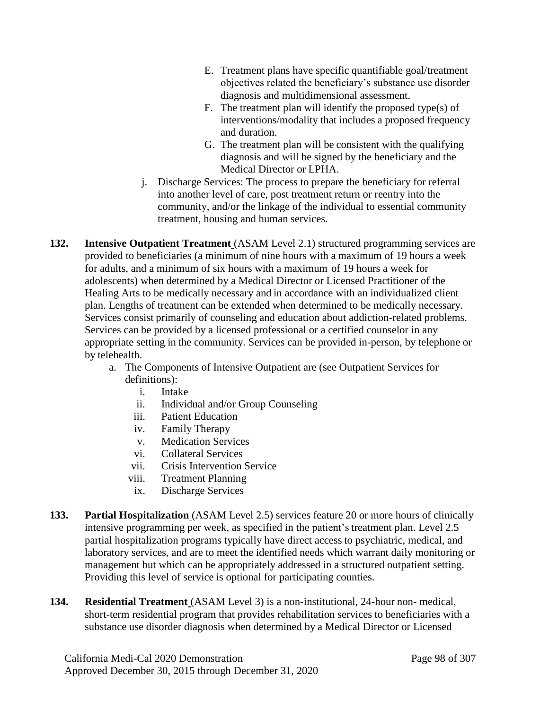- E. Treatment plans have specific quantifiable goal/treatment objectives related the beneficiary's substance use disorder diagnosis and multidimensional assessment.
- F. The treatment plan will identify the proposed type(s) of interventions/modality that includes a proposed frequency and duration.
- G. The treatment plan will be consistent with the qualifying diagnosis and will be signed by the beneficiary and the Medical Director or LPHA.
- j. Discharge Services: The process to prepare the beneficiary for referral into another level of care, post treatment return or reentry into the community, and/or the linkage of the individual to essential community treatment, housing and human services.
- **132. Intensive Outpatient Treatment** (ASAM Level 2.1) structured programming services are provided to beneficiaries (a minimum of nine hours with a maximum of 19 hours a week for adults, and a minimum of six hours with a maximum of 19 hours a week for adolescents) when determined by a Medical Director or Licensed Practitioner of the Healing Arts to be medically necessary and in accordance with an individualized client plan. Lengths of treatment can be extended when determined to be medically necessary. Services consist primarily of counseling and education about addiction-related problems. Services can be provided by a licensed professional or a certified counselor in any appropriate setting in the community. Services can be provided in-person, by telephone or by telehealth.
	- a. The Components of Intensive Outpatient are (see Outpatient Services for definitions):
		- i. Intake
		- ii. Individual and/or Group Counseling
		- iii. Patient Education
		- iv. Family Therapy
		- v. Medication Services
		- vi. Collateral Services
		- vii. Crisis Intervention Service
		- viii. Treatment Planning
		- ix. Discharge Services
- **133. Partial Hospitalization** (ASAM Level 2.5) services feature 20 or more hours of clinically intensive programming per week, as specified in the patient's treatment plan. Level 2.5 partial hospitalization programs typically have direct access to psychiatric, medical, and laboratory services, and are to meet the identified needs which warrant daily monitoring or management but which can be appropriately addressed in a structured outpatient setting. Providing this level of service is optional for participating counties.
- **134. Residential Treatment** (ASAM Level 3) is a non-institutional, 24-hour non- medical, short-term residential program that provides rehabilitation services to beneficiaries with a substance use disorder diagnosis when determined by a Medical Director or Licensed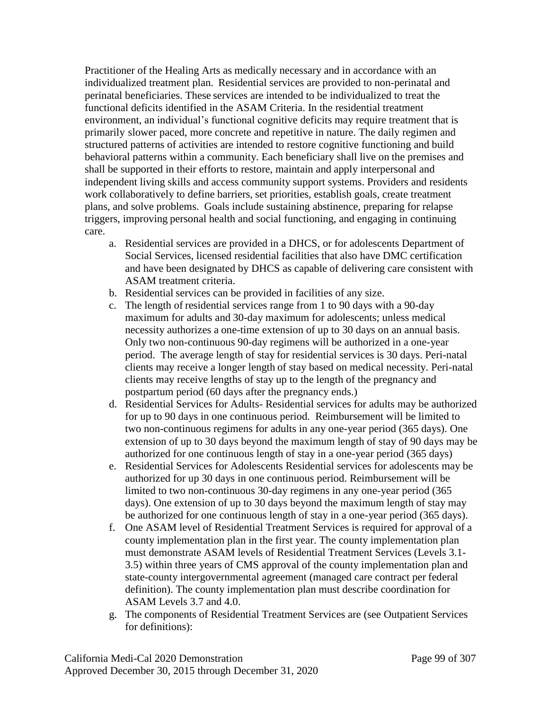Practitioner of the Healing Arts as medically necessary and in accordance with an individualized treatment plan. Residential services are provided to non-perinatal and perinatal beneficiaries. These services are intended to be individualized to treat the functional deficits identified in the ASAM Criteria. In the residential treatment environment, an individual's functional cognitive deficits may require treatment that is primarily slower paced, more concrete and repetitive in nature. The daily regimen and structured patterns of activities are intended to restore cognitive functioning and build behavioral patterns within a community. Each beneficiary shall live on the premises and shall be supported in their efforts to restore, maintain and apply interpersonal and independent living skills and access community support systems. Providers and residents work collaboratively to define barriers, set priorities, establish goals, create treatment plans, and solve problems. Goals include sustaining abstinence, preparing for relapse triggers, improving personal health and social functioning, and engaging in continuing care.

- a. Residential services are provided in a DHCS, or for adolescents Department of Social Services, licensed residential facilities that also have DMC certification and have been designated by DHCS as capable of delivering care consistent with ASAM treatment criteria.
- b. Residential services can be provided in facilities of any size.
- c. The length of residential services range from 1 to 90 days with a 90-day maximum for adults and 30-day maximum for adolescents; unless medical necessity authorizes a one-time extension of up to 30 days on an annual basis. Only two non-continuous 90-day regimens will be authorized in a one-year period. The average length of stay for residential services is 30 days. Peri-natal clients may receive a longer length of stay based on medical necessity. Peri-natal clients may receive lengths of stay up to the length of the pregnancy and postpartum period (60 days after the pregnancy ends.)
- d. Residential Services for Adults- Residential services for adults may be authorized for up to 90 days in one continuous period. Reimbursement will be limited to two non-continuous regimens for adults in any one-year period (365 days). One extension of up to 30 days beyond the maximum length of stay of 90 days may be authorized for one continuous length of stay in a one-year period (365 days)
- e. Residential Services for Adolescents Residential services for adolescents may be authorized for up 30 days in one continuous period. Reimbursement will be limited to two non-continuous 30-day regimens in any one-year period (365 days). One extension of up to 30 days beyond the maximum length of stay may be authorized for one continuous length of stay in a one-year period (365 days).
- f. One ASAM level of Residential Treatment Services is required for approval of a county implementation plan in the first year. The county implementation plan must demonstrate ASAM levels of Residential Treatment Services (Levels 3.1- 3.5) within three years of CMS approval of the county implementation plan and state-county intergovernmental agreement (managed care contract per federal definition). The county implementation plan must describe coordination for ASAM Levels 3.7 and 4.0.
- g. The components of Residential Treatment Services are (see Outpatient Services for definitions):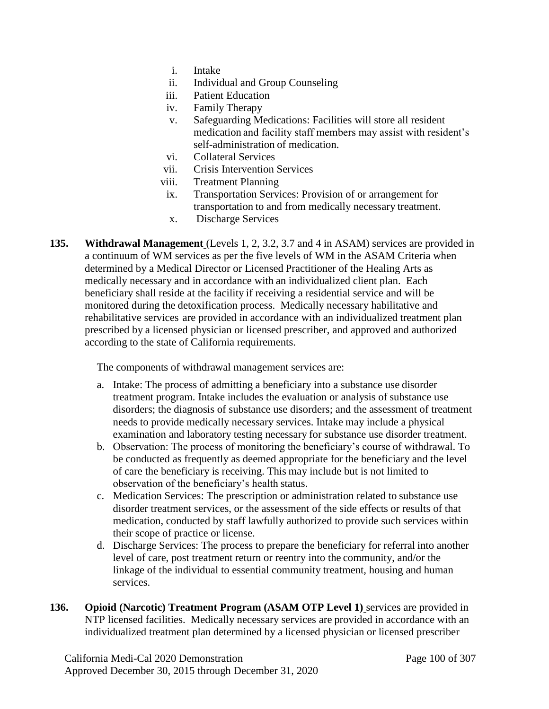- i. Intake
- ii. Individual and Group Counseling
- iii. Patient Education
- iv. Family Therapy
- v. Safeguarding Medications: Facilities will store all resident medication and facility staff members may assist with resident's self-administration of medication.
- vi. Collateral Services
- vii. Crisis Intervention Services
- viii. Treatment Planning
- ix. Transportation Services: Provision of or arrangement for transportation to and from medically necessary treatment.
- x. Discharge Services
- **135. Withdrawal Management** (Levels 1, 2, 3.2, 3.7 and 4 in ASAM) services are provided in a continuum of WM services as per the five levels of WM in the ASAM Criteria when determined by a Medical Director or Licensed Practitioner of the Healing Arts as medically necessary and in accordance with an individualized client plan. Each beneficiary shall reside at the facility if receiving a residential service and will be monitored during the detoxification process. Medically necessary habilitative and rehabilitative services are provided in accordance with an individualized treatment plan prescribed by a licensed physician or licensed prescriber, and approved and authorized according to the state of California requirements.

The components of withdrawal management services are:

- a. Intake: The process of admitting a beneficiary into a substance use disorder treatment program. Intake includes the evaluation or analysis of substance use disorders; the diagnosis of substance use disorders; and the assessment of treatment needs to provide medically necessary services. Intake may include a physical examination and laboratory testing necessary for substance use disorder treatment.
- b. Observation: The process of monitoring the beneficiary's course of withdrawal. To be conducted as frequently as deemed appropriate for the beneficiary and the level of care the beneficiary is receiving. This may include but is not limited to observation of the beneficiary's health status.
- c. Medication Services: The prescription or administration related to substance use disorder treatment services, or the assessment of the side effects or results of that medication, conducted by staff lawfully authorized to provide such services within their scope of practice or license.
- d. Discharge Services: The process to prepare the beneficiary for referral into another level of care, post treatment return or reentry into the community, and/or the linkage of the individual to essential community treatment, housing and human services.
- **136. Opioid (Narcotic) Treatment Program (ASAM OTP Level 1)** services are provided in NTP licensed facilities. Medically necessary services are provided in accordance with an individualized treatment plan determined by a licensed physician or licensed prescriber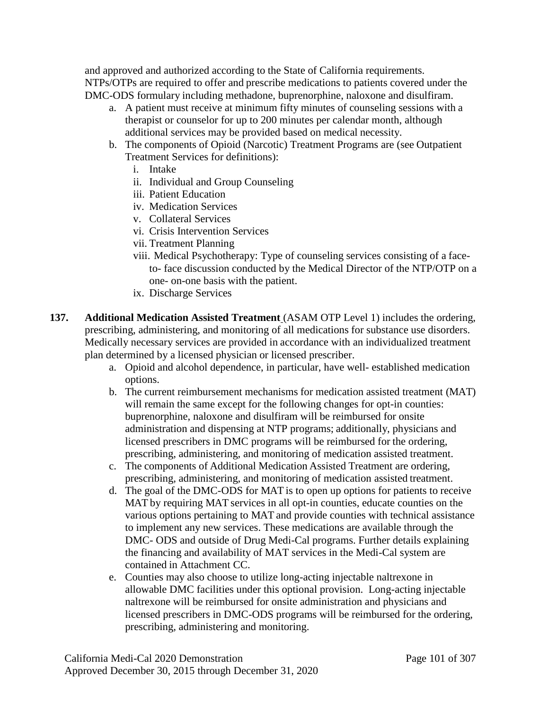and approved and authorized according to the State of California requirements. NTPs/OTPs are required to offer and prescribe medications to patients covered under the DMC-ODS formulary including methadone, buprenorphine, naloxone and disulfiram.

- a. A patient must receive at minimum fifty minutes of counseling sessions with a therapist or counselor for up to 200 minutes per calendar month, although additional services may be provided based on medical necessity.
- b. The components of Opioid (Narcotic) Treatment Programs are (see Outpatient Treatment Services for definitions):
	- i. Intake
	- ii. Individual and Group Counseling
	- iii. Patient Education
	- iv. Medication Services
	- v. Collateral Services
	- vi. Crisis Intervention Services
	- vii. Treatment Planning
	- viii. Medical Psychotherapy: Type of counseling services consisting of a faceto- face discussion conducted by the Medical Director of the NTP/OTP on a one- on-one basis with the patient.
	- ix. Discharge Services
- **137. Additional Medication Assisted Treatment** (ASAM OTP Level 1) includes the ordering, prescribing, administering, and monitoring of all medications for substance use disorders. Medically necessary services are provided in accordance with an individualized treatment plan determined by a licensed physician or licensed prescriber.
	- a. Opioid and alcohol dependence, in particular, have well- established medication options.
	- b. The current reimbursement mechanisms for medication assisted treatment (MAT) will remain the same except for the following changes for opt-in counties: buprenorphine, naloxone and disulfiram will be reimbursed for onsite administration and dispensing at NTP programs; additionally, physicians and licensed prescribers in DMC programs will be reimbursed for the ordering, prescribing, administering, and monitoring of medication assisted treatment.
	- c. The components of Additional Medication Assisted Treatment are ordering, prescribing, administering, and monitoring of medication assisted treatment.
	- d. The goal of the DMC-ODS for MAT is to open up options for patients to receive MAT by requiring MAT services in all opt-in counties, educate counties on the various options pertaining to MAT and provide counties with technical assistance to implement any new services. These medications are available through the DMC- ODS and outside of Drug Medi-Cal programs. Further details explaining the financing and availability of MAT services in the Medi-Cal system are contained in Attachment CC.
	- e. Counties may also choose to utilize long-acting injectable naltrexone in allowable DMC facilities under this optional provision. Long-acting injectable naltrexone will be reimbursed for onsite administration and physicians and licensed prescribers in DMC-ODS programs will be reimbursed for the ordering, prescribing, administering and monitoring.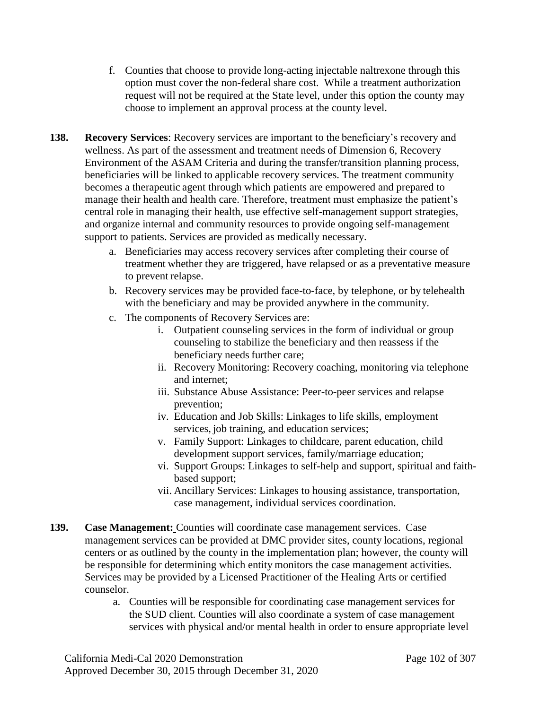- f. Counties that choose to provide long-acting injectable naltrexone through this option must cover the non-federal share cost. While a treatment authorization request will not be required at the State level, under this option the county may choose to implement an approval process at the county level.
- **138. Recovery Services**: Recovery services are important to the beneficiary's recovery and wellness. As part of the assessment and treatment needs of Dimension 6, Recovery Environment of the ASAM Criteria and during the transfer/transition planning process, beneficiaries will be linked to applicable recovery services. The treatment community becomes a therapeutic agent through which patients are empowered and prepared to manage their health and health care. Therefore, treatment must emphasize the patient's central role in managing their health, use effective self-management support strategies, and organize internal and community resources to provide ongoing self-management support to patients. Services are provided as medically necessary.
	- a. Beneficiaries may access recovery services after completing their course of treatment whether they are triggered, have relapsed or as a preventative measure to prevent relapse.
	- b. Recovery services may be provided face-to-face, by telephone, or by telehealth with the beneficiary and may be provided anywhere in the community.
	- c. The components of Recovery Services are:
		- i. Outpatient counseling services in the form of individual or group counseling to stabilize the beneficiary and then reassess if the beneficiary needs further care;
		- ii. Recovery Monitoring: Recovery coaching, monitoring via telephone and internet;
		- iii. Substance Abuse Assistance: Peer-to-peer services and relapse prevention;
		- iv. Education and Job Skills: Linkages to life skills, employment services, job training, and education services;
		- v. Family Support: Linkages to childcare, parent education, child development support services, family/marriage education;
		- vi. Support Groups: Linkages to self-help and support, spiritual and faithbased support;
		- vii. Ancillary Services: Linkages to housing assistance, transportation, case management, individual services coordination.
- **139. Case Management:** Counties will coordinate case management services. Case management services can be provided at DMC provider sites, county locations, regional centers or as outlined by the county in the implementation plan; however, the county will be responsible for determining which entity monitors the case management activities. Services may be provided by a Licensed Practitioner of the Healing Arts or certified counselor.
	- a. Counties will be responsible for coordinating case management services for the SUD client. Counties will also coordinate a system of case management services with physical and/or mental health in order to ensure appropriate level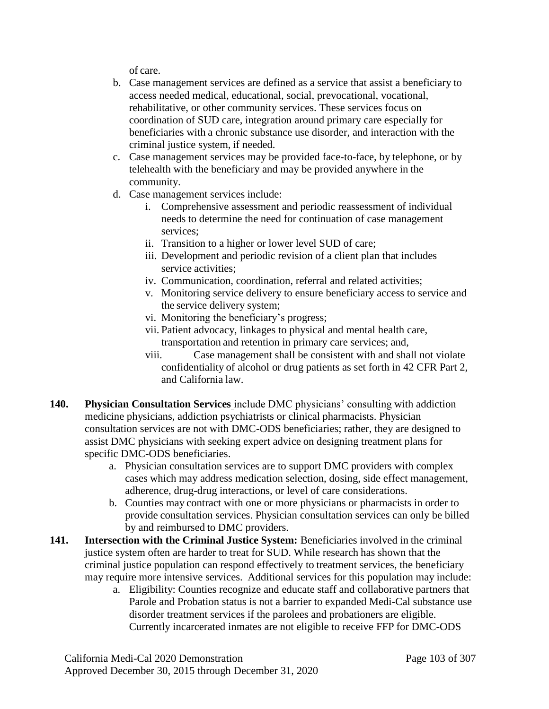of care.

- b. Case management services are defined as a service that assist a beneficiary to access needed medical, educational, social, prevocational, vocational, rehabilitative, or other community services. These services focus on coordination of SUD care, integration around primary care especially for beneficiaries with a chronic substance use disorder, and interaction with the criminal justice system, if needed.
- c. Case management services may be provided face-to-face, by telephone, or by telehealth with the beneficiary and may be provided anywhere in the community.
- d. Case management services include:
	- i. Comprehensive assessment and periodic reassessment of individual needs to determine the need for continuation of case management services;
	- ii. Transition to a higher or lower level SUD of care;
	- iii. Development and periodic revision of a client plan that includes service activities;
	- iv. Communication, coordination, referral and related activities;
	- v. Monitoring service delivery to ensure beneficiary access to service and the service delivery system;
	- vi. Monitoring the beneficiary's progress;
	- vii. Patient advocacy, linkages to physical and mental health care, transportation and retention in primary care services; and,
	- viii. Case management shall be consistent with and shall not violate confidentiality of alcohol or drug patients as set forth in 42 CFR Part 2, and California law.
- **140. Physician Consultation Services** include DMC physicians' consulting with addiction medicine physicians, addiction psychiatrists or clinical pharmacists. Physician consultation services are not with DMC-ODS beneficiaries; rather, they are designed to assist DMC physicians with seeking expert advice on designing treatment plans for specific DMC-ODS beneficiaries.
	- a. Physician consultation services are to support DMC providers with complex cases which may address medication selection, dosing, side effect management, adherence, drug-drug interactions, or level of care considerations.
	- b. Counties may contract with one or more physicians or pharmacists in order to provide consultation services. Physician consultation services can only be billed by and reimbursed to DMC providers.
- **141. Intersection with the Criminal Justice System:** Beneficiaries involved in the criminal justice system often are harder to treat for SUD. While research has shown that the criminal justice population can respond effectively to treatment services, the beneficiary may require more intensive services. Additional services for this population may include:
	- a. Eligibility: Counties recognize and educate staff and collaborative partners that Parole and Probation status is not a barrier to expanded Medi-Cal substance use disorder treatment services if the parolees and probationers are eligible. Currently incarcerated inmates are not eligible to receive FFP for DMC-ODS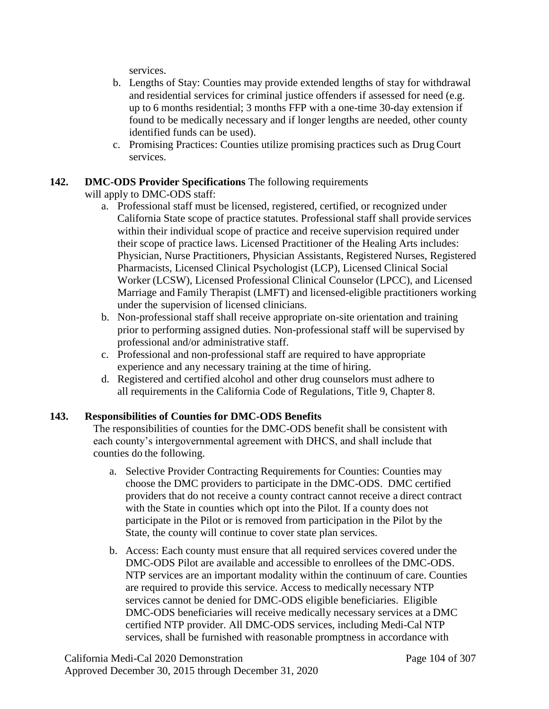services.

- b. Lengths of Stay: Counties may provide extended lengths of stay for withdrawal and residential services for criminal justice offenders if assessed for need (e.g. up to 6 months residential; 3 months FFP with a one-time 30-day extension if found to be medically necessary and if longer lengths are needed, other county identified funds can be used).
- c. Promising Practices: Counties utilize promising practices such as Drug Court services.

## **142. DMC-ODS Provider Specifications** The following requirements

will apply to DMC-ODS staff:

- a. Professional staff must be licensed, registered, certified, or recognized under California State scope of practice statutes. Professional staff shall provide services within their individual scope of practice and receive supervision required under their scope of practice laws. Licensed Practitioner of the Healing Arts includes: Physician, Nurse Practitioners, Physician Assistants, Registered Nurses, Registered Pharmacists, Licensed Clinical Psychologist (LCP), Licensed Clinical Social Worker (LCSW), Licensed Professional Clinical Counselor (LPCC), and Licensed Marriage and Family Therapist (LMFT) and licensed-eligible practitioners working under the supervision of licensed clinicians.
- b. Non-professional staff shall receive appropriate on-site orientation and training prior to performing assigned duties. Non-professional staff will be supervised by professional and/or administrative staff.
- c. Professional and non-professional staff are required to have appropriate experience and any necessary training at the time of hiring.
- d. Registered and certified alcohol and other drug counselors must adhere to all requirements in the California Code of Regulations, Title 9, Chapter 8.

## **143. Responsibilities of Counties for DMC-ODS Benefits**

The responsibilities of counties for the DMC-ODS benefit shall be consistent with each county's intergovernmental agreement with DHCS, and shall include that counties do the following.

- a. Selective Provider Contracting Requirements for Counties: Counties may choose the DMC providers to participate in the DMC-ODS. DMC certified providers that do not receive a county contract cannot receive a direct contract with the State in counties which opt into the Pilot. If a county does not participate in the Pilot or is removed from participation in the Pilot by the State, the county will continue to cover state plan services.
- b. Access: Each county must ensure that all required services covered under the DMC-ODS Pilot are available and accessible to enrollees of the DMC-ODS. NTP services are an important modality within the continuum of care. Counties are required to provide this service. Access to medically necessary NTP services cannot be denied for DMC-ODS eligible beneficiaries. Eligible DMC-ODS beneficiaries will receive medically necessary services at a DMC certified NTP provider. All DMC-ODS services, including Medi-Cal NTP services, shall be furnished with reasonable promptness in accordance with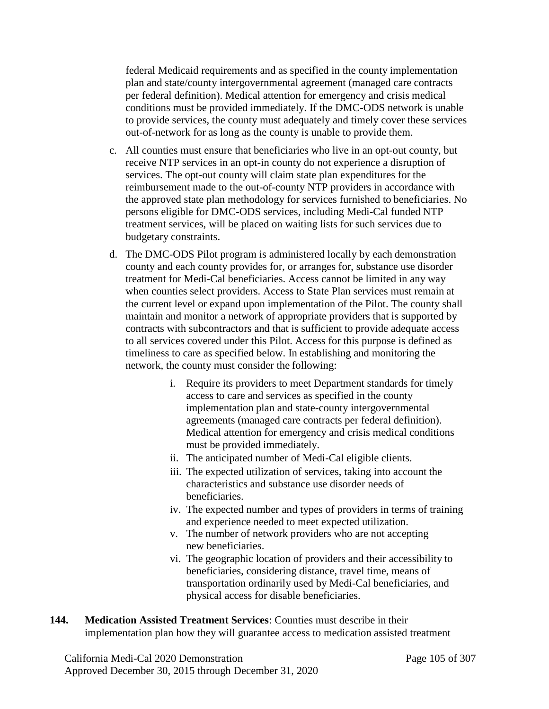federal Medicaid requirements and as specified in the county implementation plan and state/county intergovernmental agreement (managed care contracts per federal definition). Medical attention for emergency and crisis medical conditions must be provided immediately. If the DMC-ODS network is unable to provide services, the county must adequately and timely cover these services out-of-network for as long as the county is unable to provide them.

- c. All counties must ensure that beneficiaries who live in an opt-out county, but receive NTP services in an opt-in county do not experience a disruption of services. The opt-out county will claim state plan expenditures for the reimbursement made to the out-of-county NTP providers in accordance with the approved state plan methodology for services furnished to beneficiaries. No persons eligible for DMC-ODS services, including Medi-Cal funded NTP treatment services, will be placed on waiting lists for such services due to budgetary constraints.
- d. The DMC-ODS Pilot program is administered locally by each demonstration county and each county provides for, or arranges for, substance use disorder treatment for Medi-Cal beneficiaries. Access cannot be limited in any way when counties select providers. Access to State Plan services must remain at the current level or expand upon implementation of the Pilot. The county shall maintain and monitor a network of appropriate providers that is supported by contracts with subcontractors and that is sufficient to provide adequate access to all services covered under this Pilot. Access for this purpose is defined as timeliness to care as specified below. In establishing and monitoring the network, the county must consider the following:
	- i. Require its providers to meet Department standards for timely access to care and services as specified in the county implementation plan and state-county intergovernmental agreements (managed care contracts per federal definition). Medical attention for emergency and crisis medical conditions must be provided immediately.
	- ii. The anticipated number of Medi-Cal eligible clients.
	- iii. The expected utilization of services, taking into account the characteristics and substance use disorder needs of beneficiaries.
	- iv. The expected number and types of providers in terms of training and experience needed to meet expected utilization.
	- v. The number of network providers who are not accepting new beneficiaries.
	- vi. The geographic location of providers and their accessibility to beneficiaries, considering distance, travel time, means of transportation ordinarily used by Medi-Cal beneficiaries, and physical access for disable beneficiaries.
- **144. Medication Assisted Treatment Services**: Counties must describe in their implementation plan how they will guarantee access to medication assisted treatment

California Medi-Cal 2020 Demonstration Page 105 of 307 Approved December 30, 2015 through December 31, 2020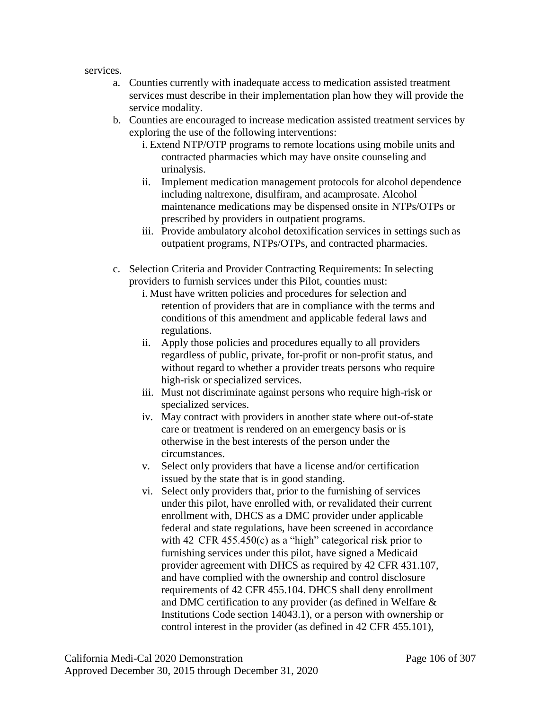services.

- a. Counties currently with inadequate access to medication assisted treatment services must describe in their implementation plan how they will provide the service modality.
- b. Counties are encouraged to increase medication assisted treatment services by exploring the use of the following interventions:
	- i. Extend NTP/OTP programs to remote locations using mobile units and contracted pharmacies which may have onsite counseling and urinalysis.
	- ii. Implement medication management protocols for alcohol dependence including naltrexone, disulfiram, and acamprosate. Alcohol maintenance medications may be dispensed onsite in NTPs/OTPs or prescribed by providers in outpatient programs.
	- iii. Provide ambulatory alcohol detoxification services in settings such as outpatient programs, NTPs/OTPs, and contracted pharmacies.
- c. Selection Criteria and Provider Contracting Requirements: In selecting providers to furnish services under this Pilot, counties must:
	- i. Must have written policies and procedures for selection and retention of providers that are in compliance with the terms and conditions of this amendment and applicable federal laws and regulations.
	- ii. Apply those policies and procedures equally to all providers regardless of public, private, for-profit or non-profit status, and without regard to whether a provider treats persons who require high-risk or specialized services.
	- iii. Must not discriminate against persons who require high-risk or specialized services.
	- iv. May contract with providers in another state where out-of-state care or treatment is rendered on an emergency basis or is otherwise in the best interests of the person under the circumstances.
	- v. Select only providers that have a license and/or certification issued by the state that is in good standing.
	- vi. Select only providers that, prior to the furnishing of services under this pilot, have enrolled with, or revalidated their current enrollment with, DHCS as a DMC provider under applicable federal and state regulations, have been screened in accordance with 42 CFR 455.450(c) as a "high" categorical risk prior to furnishing services under this pilot, have signed a Medicaid provider agreement with DHCS as required by 42 CFR 431.107, and have complied with the ownership and control disclosure requirements of 42 CFR 455.104. DHCS shall deny enrollment and DMC certification to any provider (as defined in Welfare & Institutions Code section 14043.1), or a person with ownership or control interest in the provider (as defined in 42 CFR 455.101),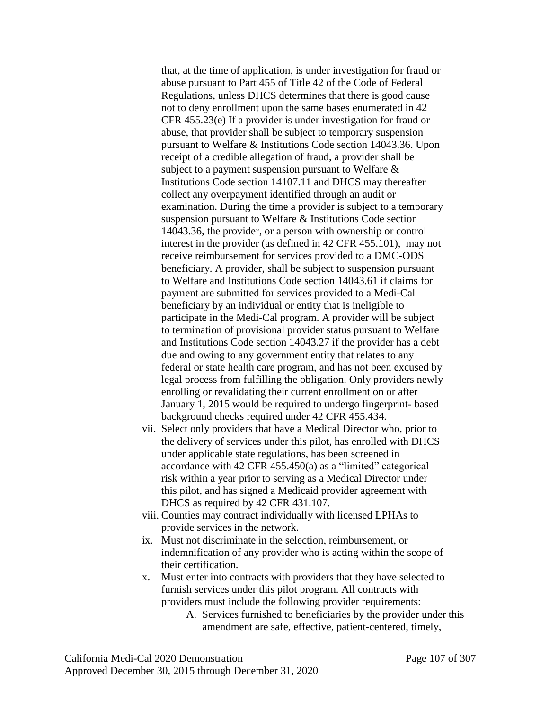that, at the time of application, is under investigation for fraud or abuse pursuant to Part 455 of Title 42 of the Code of Federal Regulations, unless DHCS determines that there is good cause not to deny enrollment upon the same bases enumerated in 42 CFR 455.23(e) If a provider is under investigation for fraud or abuse, that provider shall be subject to temporary suspension pursuant to Welfare & Institutions Code section 14043.36. Upon receipt of a credible allegation of fraud, a provider shall be subject to a payment suspension pursuant to Welfare & Institutions Code section 14107.11 and DHCS may thereafter collect any overpayment identified through an audit or examination. During the time a provider is subject to a temporary suspension pursuant to Welfare & Institutions Code section 14043.36, the provider, or a person with ownership or control interest in the provider (as defined in 42 CFR 455.101), may not receive reimbursement for services provided to a DMC-ODS beneficiary. A provider, shall be subject to suspension pursuant to Welfare and Institutions Code section 14043.61 if claims for payment are submitted for services provided to a Medi-Cal beneficiary by an individual or entity that is ineligible to participate in the Medi-Cal program. A provider will be subject to termination of provisional provider status pursuant to Welfare and Institutions Code section 14043.27 if the provider has a debt due and owing to any government entity that relates to any federal or state health care program, and has not been excused by legal process from fulfilling the obligation. Only providers newly enrolling or revalidating their current enrollment on or after January 1, 2015 would be required to undergo fingerprint- based background checks required under 42 CFR 455.434.

- vii. Select only providers that have a Medical Director who, prior to the delivery of services under this pilot, has enrolled with DHCS under applicable state regulations, has been screened in accordance with 42 CFR 455.450(a) as a "limited" categorical risk within a year prior to serving as a Medical Director under this pilot, and has signed a Medicaid provider agreement with DHCS as required by 42 CFR 431.107.
- viii. Counties may contract individually with licensed LPHAs to provide services in the network.
- ix. Must not discriminate in the selection, reimbursement, or indemnification of any provider who is acting within the scope of their certification.
- x. Must enter into contracts with providers that they have selected to furnish services under this pilot program. All contracts with providers must include the following provider requirements:
	- A. Services furnished to beneficiaries by the provider under this amendment are safe, effective, patient-centered, timely,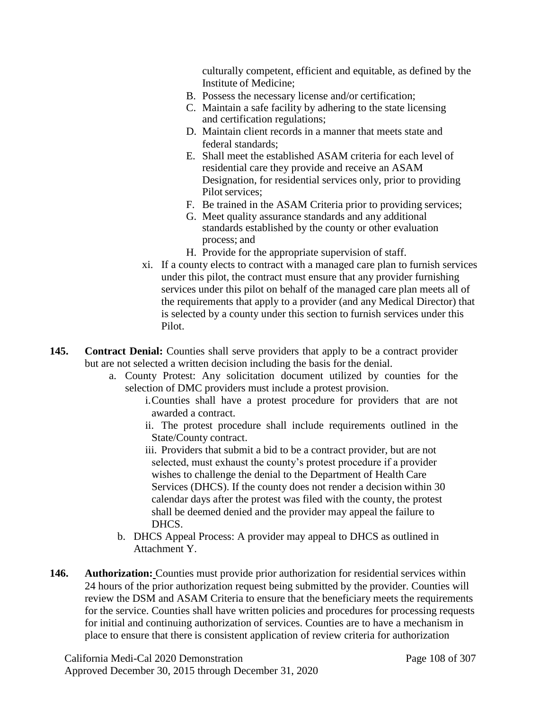culturally competent, efficient and equitable, as defined by the Institute of Medicine;

- B. Possess the necessary license and/or certification;
- C. Maintain a safe facility by adhering to the state licensing and certification regulations;
- D. Maintain client records in a manner that meets state and federal standards;
- E. Shall meet the established ASAM criteria for each level of residential care they provide and receive an ASAM Designation, for residential services only, prior to providing Pilot services;
- F. Be trained in the ASAM Criteria prior to providing services;
- G. Meet quality assurance standards and any additional standards established by the county or other evaluation process; and
- H. Provide for the appropriate supervision of staff.
- xi. If a county elects to contract with a managed care plan to furnish services under this pilot, the contract must ensure that any provider furnishing services under this pilot on behalf of the managed care plan meets all of the requirements that apply to a provider (and any Medical Director) that is selected by a county under this section to furnish services under this Pilot.
- **145. Contract Denial:** Counties shall serve providers that apply to be a contract provider but are not selected a written decision including the basis for the denial.
	- a. County Protest: Any solicitation document utilized by counties for the selection of DMC providers must include a protest provision.
		- i.Counties shall have a protest procedure for providers that are not awarded a contract.
		- ii. The protest procedure shall include requirements outlined in the State/County contract.
		- iii. Providers that submit a bid to be a contract provider, but are not selected, must exhaust the county's protest procedure if a provider wishes to challenge the denial to the Department of Health Care Services (DHCS). If the county does not render a decision within 30 calendar days after the protest was filed with the county, the protest shall be deemed denied and the provider may appeal the failure to DHCS.
		- b. DHCS Appeal Process: A provider may appeal to DHCS as outlined in Attachment Y.
- **146. Authorization:** Counties must provide prior authorization for residential services within 24 hours of the prior authorization request being submitted by the provider. Counties will review the DSM and ASAM Criteria to ensure that the beneficiary meets the requirements for the service. Counties shall have written policies and procedures for processing requests for initial and continuing authorization of services. Counties are to have a mechanism in place to ensure that there is consistent application of review criteria for authorization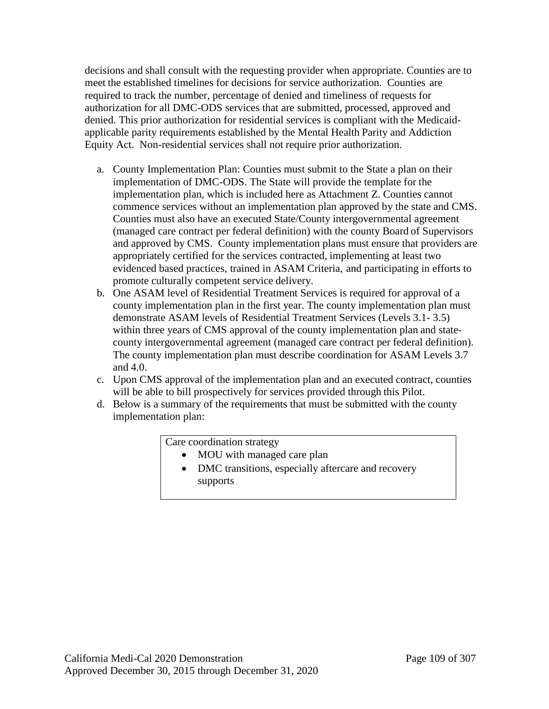decisions and shall consult with the requesting provider when appropriate. Counties are to meet the established timelines for decisions for service authorization. Counties are required to track the number, percentage of denied and timeliness of requests for authorization for all DMC-ODS services that are submitted, processed, approved and denied. This prior authorization for residential services is compliant with the Medicaidapplicable parity requirements established by the Mental Health Parity and Addiction Equity Act. Non-residential services shall not require prior authorization.

- a. County Implementation Plan: Counties must submit to the State a plan on their implementation of DMC-ODS. The State will provide the template for the implementation plan, which is included here as Attachment Z. Counties cannot commence services without an implementation plan approved by the state and CMS. Counties must also have an executed State/County intergovernmental agreement (managed care contract per federal definition) with the county Board of Supervisors and approved by CMS. County implementation plans must ensure that providers are appropriately certified for the services contracted, implementing at least two evidenced based practices, trained in ASAM Criteria, and participating in efforts to promote culturally competent service delivery.
- b. One ASAM level of Residential Treatment Services is required for approval of a county implementation plan in the first year. The county implementation plan must demonstrate ASAM levels of Residential Treatment Services (Levels 3.1- 3.5) within three years of CMS approval of the county implementation plan and statecounty intergovernmental agreement (managed care contract per federal definition). The county implementation plan must describe coordination for ASAM Levels 3.7 and 4.0.
- c. Upon CMS approval of the implementation plan and an executed contract, counties will be able to bill prospectively for services provided through this Pilot.
- d. Below is a summary of the requirements that must be submitted with the county implementation plan:

Care coordination strategy

- MOU with managed care plan
- DMC transitions, especially aftercare and recovery supports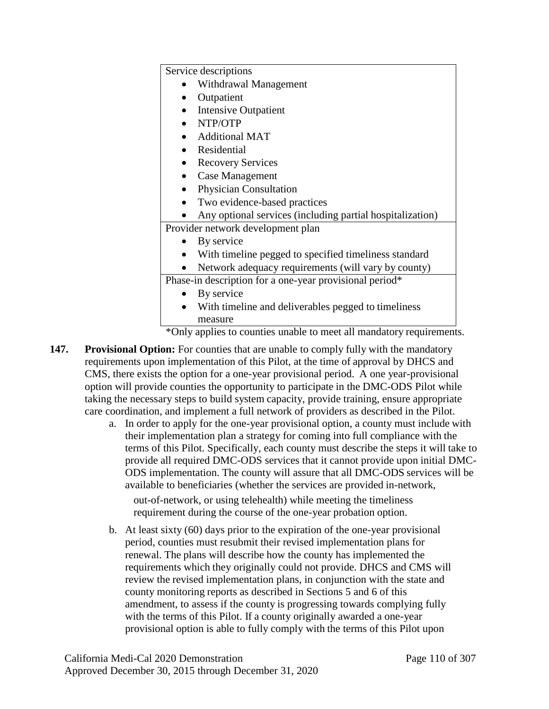Service descriptions

- Withdrawal Management
- Outpatient
- Intensive Outpatient
- NTP/OTP
- Additional MAT
- Residential
- Recovery Services
- Case Management
- Physician Consultation
- Two evidence-based practices
- Any optional services (including partial hospitalization)

Provider network development plan

- By service
- With timeline pegged to specified timeliness standard
- Network adequacy requirements (will vary by county)

Phase-in description for a one-year provisional period\*

- By service
- With timeline and deliverables pegged to timeliness measure

\*Only applies to counties unable to meet all mandatory requirements.

- **147. Provisional Option:** For counties that are unable to comply fully with the mandatory requirements upon implementation of this Pilot, at the time of approval by DHCS and CMS, there exists the option for a one-year provisional period. A one year-provisional option will provide counties the opportunity to participate in the DMC-ODS Pilot while taking the necessary steps to build system capacity, provide training, ensure appropriate care coordination, and implement a full network of providers as described in the Pilot.
	- a. In order to apply for the one-year provisional option, a county must include with their implementation plan a strategy for coming into full compliance with the terms of this Pilot. Specifically, each county must describe the steps it will take to provide all required DMC-ODS services that it cannot provide upon initial DMC-ODS implementation. The county will assure that all DMC-ODS services will be available to beneficiaries (whether the services are provided in-network, out-of-network, or using telehealth) while meeting the timeliness requirement during the course of the one-year probation option.
	- b. At least sixty (60) days prior to the expiration of the one-year provisional period, counties must resubmit their revised implementation plans for renewal. The plans will describe how the county has implemented the requirements which they originally could not provide. DHCS and CMS will review the revised implementation plans, in conjunction with the state and county monitoring reports as described in Sections 5 and 6 of this amendment, to assess if the county is progressing towards complying fully with the terms of this Pilot. If a county originally awarded a one-year provisional option is able to fully comply with the terms of this Pilot upon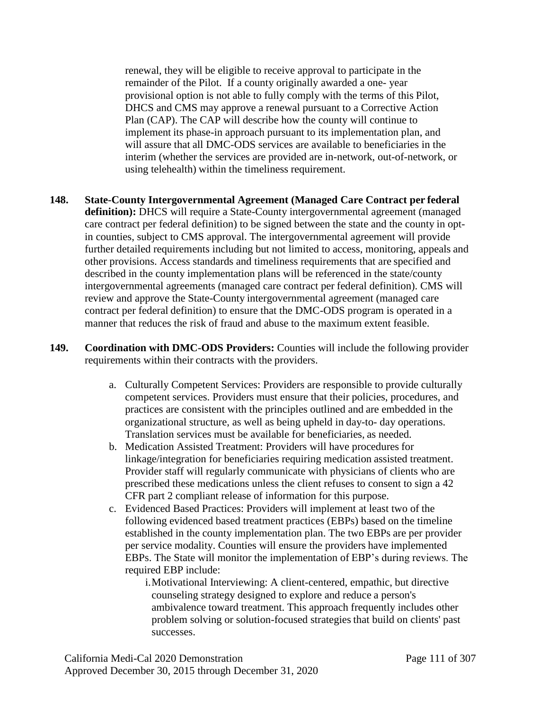renewal, they will be eligible to receive approval to participate in the remainder of the Pilot. If a county originally awarded a one- year provisional option is not able to fully comply with the terms of this Pilot, DHCS and CMS may approve a renewal pursuant to a Corrective Action Plan (CAP). The CAP will describe how the county will continue to implement its phase-in approach pursuant to its implementation plan, and will assure that all DMC-ODS services are available to beneficiaries in the interim (whether the services are provided are in-network, out-of-network, or using telehealth) within the timeliness requirement.

- **148. State-County Intergovernmental Agreement (Managed Care Contract per federal definition):** DHCS will require a State-County intergovernmental agreement (managed care contract per federal definition) to be signed between the state and the county in optin counties, subject to CMS approval. The intergovernmental agreement will provide further detailed requirements including but not limited to access, monitoring, appeals and other provisions. Access standards and timeliness requirements that are specified and described in the county implementation plans will be referenced in the state/county intergovernmental agreements (managed care contract per federal definition). CMS will review and approve the State-County intergovernmental agreement (managed care contract per federal definition) to ensure that the DMC-ODS program is operated in a manner that reduces the risk of fraud and abuse to the maximum extent feasible.
- **149. Coordination with DMC-ODS Providers:** Counties will include the following provider requirements within their contracts with the providers.
	- a. Culturally Competent Services: Providers are responsible to provide culturally competent services. Providers must ensure that their policies, procedures, and practices are consistent with the principles outlined and are embedded in the organizational structure, as well as being upheld in day-to- day operations. Translation services must be available for beneficiaries, as needed.
	- b. Medication Assisted Treatment: Providers will have procedures for linkage/integration for beneficiaries requiring medication assisted treatment. Provider staff will regularly communicate with physicians of clients who are prescribed these medications unless the client refuses to consent to sign a 42 CFR part 2 compliant release of information for this purpose.
	- c. Evidenced Based Practices: Providers will implement at least two of the following evidenced based treatment practices (EBPs) based on the timeline established in the county implementation plan. The two EBPs are per provider per service modality. Counties will ensure the providers have implemented EBPs. The State will monitor the implementation of EBP's during reviews. The required EBP include:

i.Motivational Interviewing: A client-centered, empathic, but directive counseling strategy designed to explore and reduce a person's ambivalence toward treatment. This approach frequently includes other problem solving or solution-focused strategies that build on clients' past successes.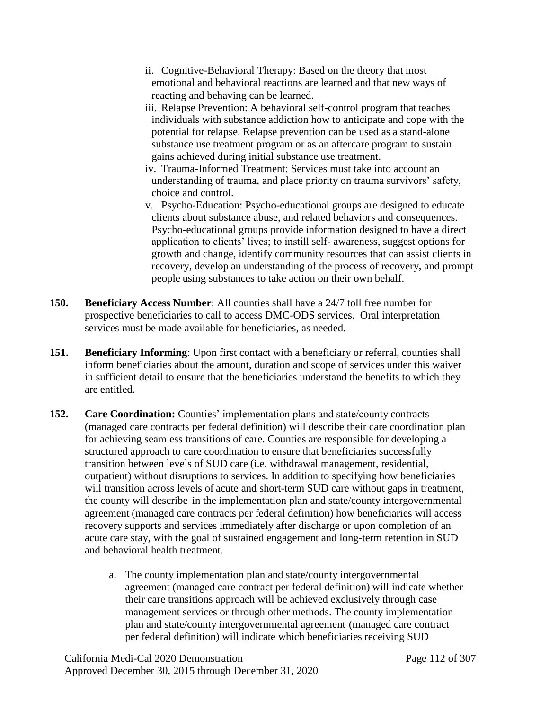- ii. Cognitive-Behavioral Therapy: Based on the theory that most emotional and behavioral reactions are learned and that new ways of reacting and behaving can be learned.
- iii. Relapse Prevention: A behavioral self-control program that teaches individuals with substance addiction how to anticipate and cope with the potential for relapse. Relapse prevention can be used as a stand-alone substance use treatment program or as an aftercare program to sustain gains achieved during initial substance use treatment.
- iv. Trauma-Informed Treatment: Services must take into account an understanding of trauma, and place priority on trauma survivors' safety, choice and control.
- v. Psycho-Education: Psycho-educational groups are designed to educate clients about substance abuse, and related behaviors and consequences. Psycho-educational groups provide information designed to have a direct application to clients' lives; to instill self- awareness, suggest options for growth and change, identify community resources that can assist clients in recovery, develop an understanding of the process of recovery, and prompt people using substances to take action on their own behalf.
- **150. Beneficiary Access Number**: All counties shall have a 24/7 toll free number for prospective beneficiaries to call to access DMC-ODS services. Oral interpretation services must be made available for beneficiaries, as needed.
- **151. Beneficiary Informing**: Upon first contact with a beneficiary or referral, counties shall inform beneficiaries about the amount, duration and scope of services under this waiver in sufficient detail to ensure that the beneficiaries understand the benefits to which they are entitled.
- **152. Care Coordination:** Counties' implementation plans and state/county contracts (managed care contracts per federal definition) will describe their care coordination plan for achieving seamless transitions of care. Counties are responsible for developing a structured approach to care coordination to ensure that beneficiaries successfully transition between levels of SUD care (i.e. withdrawal management, residential, outpatient) without disruptions to services. In addition to specifying how beneficiaries will transition across levels of acute and short-term SUD care without gaps in treatment, the county will describe in the implementation plan and state/county intergovernmental agreement (managed care contracts per federal definition) how beneficiaries will access recovery supports and services immediately after discharge or upon completion of an acute care stay, with the goal of sustained engagement and long-term retention in SUD and behavioral health treatment.
	- a. The county implementation plan and state/county intergovernmental agreement (managed care contract per federal definition) will indicate whether their care transitions approach will be achieved exclusively through case management services or through other methods. The county implementation plan and state/county intergovernmental agreement (managed care contract per federal definition) will indicate which beneficiaries receiving SUD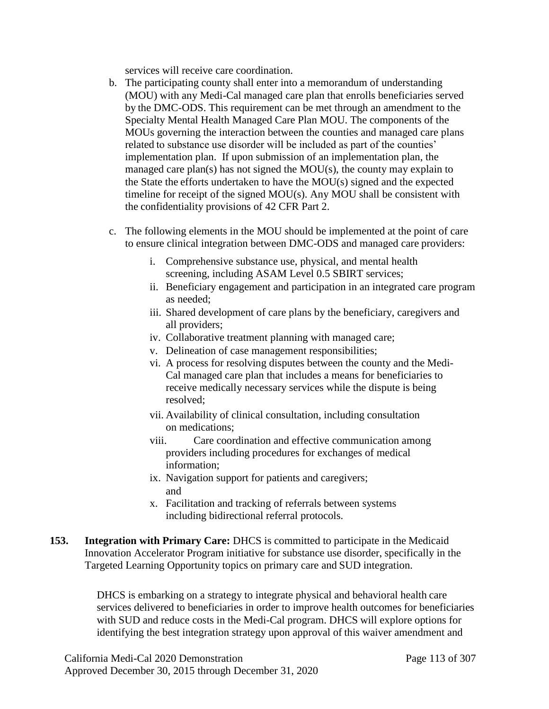services will receive care coordination.

- b. The participating county shall enter into a memorandum of understanding (MOU) with any Medi-Cal managed care plan that enrolls beneficiaries served by the DMC-ODS. This requirement can be met through an amendment to the Specialty Mental Health Managed Care Plan MOU. The components of the MOUs governing the interaction between the counties and managed care plans related to substance use disorder will be included as part of the counties' implementation plan. If upon submission of an implementation plan, the managed care plan(s) has not signed the MOU(s), the county may explain to the State the efforts undertaken to have the MOU(s) signed and the expected timeline for receipt of the signed MOU(s). Any MOU shall be consistent with the confidentiality provisions of 42 CFR Part 2.
- c. The following elements in the MOU should be implemented at the point of care to ensure clinical integration between DMC-ODS and managed care providers:
	- i. Comprehensive substance use, physical, and mental health screening, including ASAM Level 0.5 SBIRT services;
	- ii. Beneficiary engagement and participation in an integrated care program as needed;
	- iii. Shared development of care plans by the beneficiary, caregivers and all providers;
	- iv. Collaborative treatment planning with managed care;
	- v. Delineation of case management responsibilities;
	- vi. A process for resolving disputes between the county and the Medi-Cal managed care plan that includes a means for beneficiaries to receive medically necessary services while the dispute is being resolved;
	- vii. Availability of clinical consultation, including consultation on medications;
	- viii. Care coordination and effective communication among providers including procedures for exchanges of medical information;
	- ix. Navigation support for patients and caregivers; and
	- x. Facilitation and tracking of referrals between systems including bidirectional referral protocols.
- **153. Integration with Primary Care:** DHCS is committed to participate in the Medicaid Innovation Accelerator Program initiative for substance use disorder, specifically in the Targeted Learning Opportunity topics on primary care and SUD integration.

DHCS is embarking on a strategy to integrate physical and behavioral health care services delivered to beneficiaries in order to improve health outcomes for beneficiaries with SUD and reduce costs in the Medi-Cal program. DHCS will explore options for identifying the best integration strategy upon approval of this waiver amendment and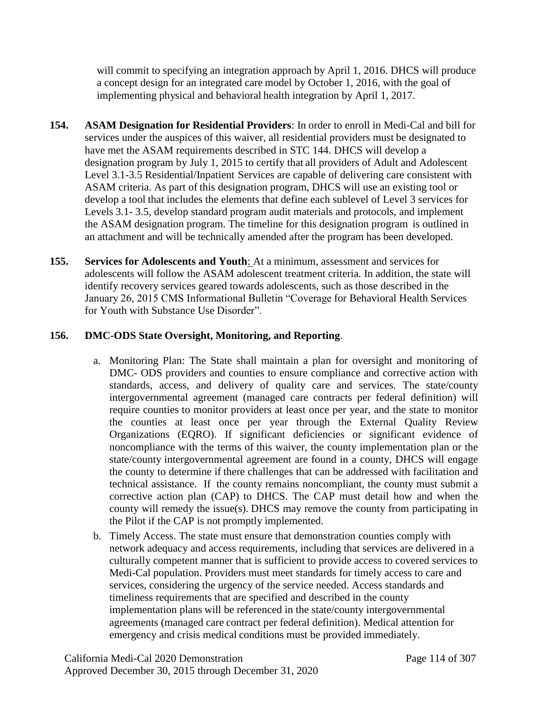will commit to specifying an integration approach by April 1, 2016. DHCS will produce a concept design for an integrated care model by October 1, 2016, with the goal of implementing physical and behavioral health integration by April 1, 2017.

- **154. ASAM Designation for Residential Providers**: In order to enroll in Medi-Cal and bill for services under the auspices of this waiver, all residential providers must be designated to have met the ASAM requirements described in STC 144. DHCS will develop a designation program by July 1, 2015 to certify that all providers of Adult and Adolescent Level 3.1-3.5 Residential/Inpatient Services are capable of delivering care consistent with ASAM criteria. As part of this designation program, DHCS will use an existing tool or develop a tool that includes the elements that define each sublevel of Level 3 services for Levels 3.1- 3.5, develop standard program audit materials and protocols, and implement the ASAM designation program. The timeline for this designation program is outlined in an attachment and will be technically amended after the program has been developed.
- **155. Services for Adolescents and Youth**: At a minimum, assessment and services for adolescents will follow the ASAM adolescent treatment criteria. In addition, the state will identify recovery services geared towards adolescents, such as those described in the January 26, 2015 CMS Informational Bulletin "Coverage for Behavioral Health Services for Youth with Substance Use Disorder".

# **156. DMC-ODS State Oversight, Monitoring, and Reporting**.

- a. Monitoring Plan: The State shall maintain a plan for oversight and monitoring of DMC- ODS providers and counties to ensure compliance and corrective action with standards, access, and delivery of quality care and services. The state/county intergovernmental agreement (managed care contracts per federal definition) will require counties to monitor providers at least once per year, and the state to monitor the counties at least once per year through the External Quality Review Organizations (EQRO). If significant deficiencies or significant evidence of noncompliance with the terms of this waiver, the county implementation plan or the state/county intergovernmental agreement are found in a county, DHCS will engage the county to determine if there challenges that can be addressed with facilitation and technical assistance. If the county remains noncompliant, the county must submit a corrective action plan (CAP) to DHCS. The CAP must detail how and when the county will remedy the issue(s). DHCS may remove the county from participating in the Pilot if the CAP is not promptly implemented.
- b. Timely Access. The state must ensure that demonstration counties comply with network adequacy and access requirements, including that services are delivered in a culturally competent manner that is sufficient to provide access to covered services to Medi-Cal population. Providers must meet standards for timely access to care and services, considering the urgency of the service needed. Access standards and timeliness requirements that are specified and described in the county implementation plans will be referenced in the state/county intergovernmental agreements (managed care contract per federal definition). Medical attention for emergency and crisis medical conditions must be provided immediately.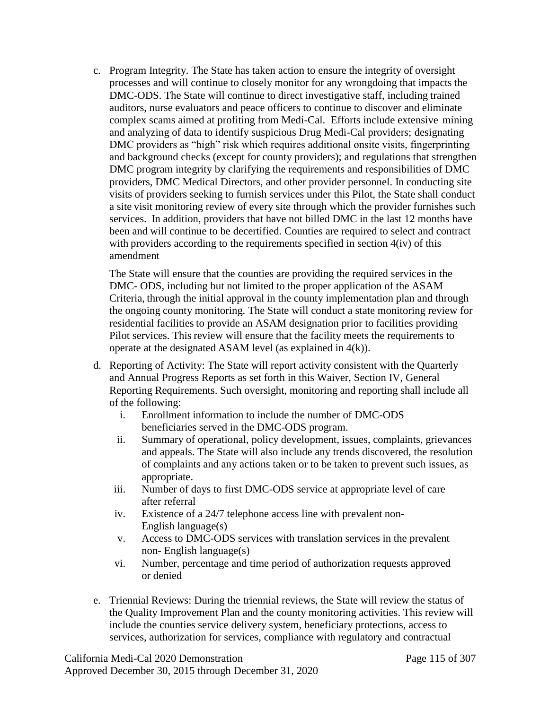c. Program Integrity*.* The State has taken action to ensure the integrity of oversight processes and will continue to closely monitor for any wrongdoing that impacts the DMC-ODS. The State will continue to direct investigative staff, including trained auditors, nurse evaluators and peace officers to continue to discover and eliminate complex scams aimed at profiting from Medi-Cal. Efforts include extensive mining and analyzing of data to identify suspicious Drug Medi-Cal providers; designating DMC providers as "high" risk which requires additional onsite visits, fingerprinting and background checks (except for county providers); and regulations that strengthen DMC program integrity by clarifying the requirements and responsibilities of DMC providers, DMC Medical Directors, and other provider personnel. In conducting site visits of providers seeking to furnish services under this Pilot, the State shall conduct a site visit monitoring review of every site through which the provider furnishes such services. In addition, providers that have not billed DMC in the last 12 months have been and will continue to be decertified. Counties are required to select and contract with providers according to the requirements specified in section  $4(iv)$  of this amendment

The State will ensure that the counties are providing the required services in the DMC- ODS, including but not limited to the proper application of the ASAM Criteria, through the initial approval in the county implementation plan and through the ongoing county monitoring. The State will conduct a state monitoring review for residential facilities to provide an ASAM designation prior to facilities providing Pilot services. This review will ensure that the facility meets the requirements to operate at the designated ASAM level (as explained in 4(k)).

- d. Reporting of Activity: The State will report activity consistent with the Quarterly and Annual Progress Reports as set forth in this Waiver, Section IV, General Reporting Requirements. Such oversight, monitoring and reporting shall include all of the following:
	- i. Enrollment information to include the number of DMC-ODS beneficiaries served in the DMC-ODS program.
	- ii. Summary of operational, policy development, issues, complaints, grievances and appeals. The State will also include any trends discovered, the resolution of complaints and any actions taken or to be taken to prevent such issues, as appropriate.
	- iii. Number of days to first DMC-ODS service at appropriate level of care after referral
	- iv. Existence of a 24/7 telephone access line with prevalent non-English language(s)
	- v. Access to DMC-ODS services with translation services in the prevalent non- English language(s)
	- vi. Number, percentage and time period of authorization requests approved or denied
- e. Triennial Reviews: During the triennial reviews, the State will review the status of the Quality Improvement Plan and the county monitoring activities. This review will include the counties service delivery system, beneficiary protections, access to services, authorization for services, compliance with regulatory and contractual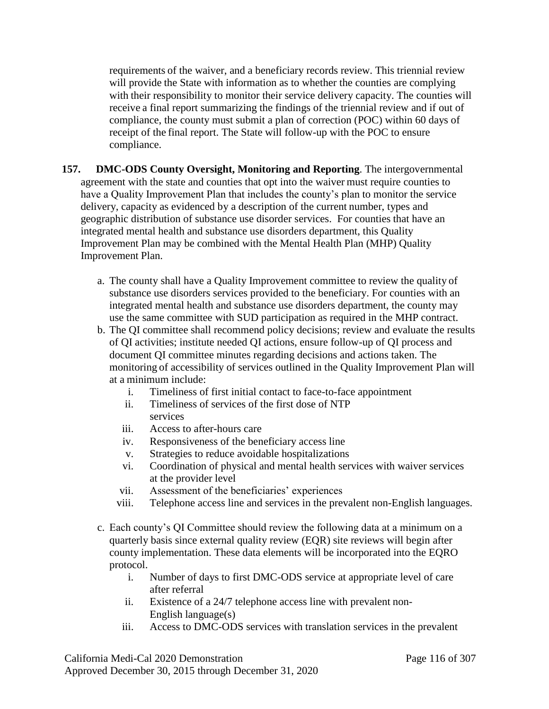requirements of the waiver, and a beneficiary records review. This triennial review will provide the State with information as to whether the counties are complying with their responsibility to monitor their service delivery capacity. The counties will receive a final report summarizing the findings of the triennial review and if out of compliance, the county must submit a plan of correction (POC) within 60 days of receipt of the final report. The State will follow-up with the POC to ensure compliance.

- **157. DMC-ODS County Oversight, Monitoring and Reporting**. The intergovernmental agreement with the state and counties that opt into the waiver must require counties to have a Quality Improvement Plan that includes the county's plan to monitor the service delivery, capacity as evidenced by a description of the current number, types and geographic distribution of substance use disorder services. For counties that have an integrated mental health and substance use disorders department, this Quality Improvement Plan may be combined with the Mental Health Plan (MHP) Quality Improvement Plan.
	- a. The county shall have a Quality Improvement committee to review the quality of substance use disorders services provided to the beneficiary. For counties with an integrated mental health and substance use disorders department, the county may use the same committee with SUD participation as required in the MHP contract.
	- b. The QI committee shall recommend policy decisions; review and evaluate the results of QI activities; institute needed QI actions, ensure follow-up of QI process and document QI committee minutes regarding decisions and actions taken. The monitoring of accessibility of services outlined in the Quality Improvement Plan will at a minimum include:
		- i. Timeliness of first initial contact to face-to-face appointment
		- ii. Timeliness of services of the first dose of NTP services
		- iii. Access to after-hours care
		- iv. Responsiveness of the beneficiary access line
		- v. Strategies to reduce avoidable hospitalizations
		- vi. Coordination of physical and mental health services with waiver services at the provider level
		- vii. Assessment of the beneficiaries' experiences
		- viii. Telephone access line and services in the prevalent non-English languages.
	- c. Each county's QI Committee should review the following data at a minimum on a quarterly basis since external quality review (EQR) site reviews will begin after county implementation. These data elements will be incorporated into the EQRO protocol.
		- i. Number of days to first DMC-ODS service at appropriate level of care after referral
		- ii. Existence of a 24/7 telephone access line with prevalent non-English language(s)
		- iii. Access to DMC-ODS services with translation services in the prevalent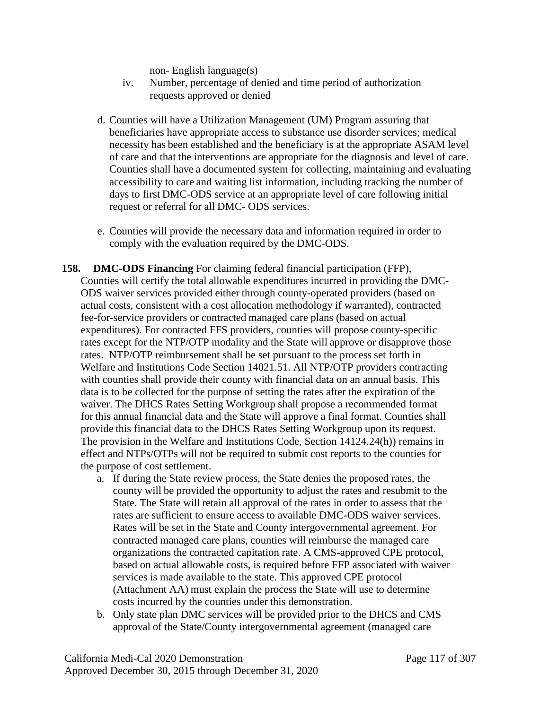non- English language(s)

- iv. Number, percentage of denied and time period of authorization requests approved or denied
- d. Counties will have a Utilization Management (UM) Program assuring that beneficiaries have appropriate access to substance use disorder services; medical necessity has been established and the beneficiary is at the appropriate ASAM level of care and that the interventions are appropriate for the diagnosis and level of care. Counties shall have a documented system for collecting, maintaining and evaluating accessibility to care and waiting list information, including tracking the number of days to first DMC-ODS service at an appropriate level of care following initial request or referral for all DMC- ODS services.
- e. Counties will provide the necessary data and information required in order to comply with the evaluation required by the DMC-ODS.
- **158. DMC-ODS Financing** For claiming federal financial participation (FFP), Counties will certify the total allowable expenditures incurred in providing the DMC-ODS waiver services provided either through county-operated providers (based on actual costs, consistent with a cost allocation methodology if warranted), contracted fee-for-service providers or contracted managed care plans (based on actual expenditures). For contracted FFS providers, counties will propose county-specific rates except for the NTP/OTP modality and the State will approve or disapprove those rates. NTP/OTP reimbursement shall be set pursuant to the process set forth in Welfare and Institutions Code Section 14021.51. All NTP/OTP providers contracting with counties shall provide their county with financial data on an annual basis. This data is to be collected for the purpose of setting the rates after the expiration of the waiver. The DHCS Rates Setting Workgroup shall propose a recommended format for this annual financial data and the State will approve a final format. Counties shall provide this financial data to the DHCS Rates Setting Workgroup upon its request. The provision in the Welfare and Institutions Code, Section 14124.24(h)) remains in effect and NTPs/OTPs will not be required to submit cost reports to the counties for the purpose of cost settlement.
	- a. If during the State review process, the State denies the proposed rates, the county will be provided the opportunity to adjust the rates and resubmit to the State. The State will retain all approval of the rates in order to assess that the rates are sufficient to ensure access to available DMC-ODS waiver services. Rates will be set in the State and County intergovernmental agreement. For contracted managed care plans, counties will reimburse the managed care organizations the contracted capitation rate. A CMS-approved CPE protocol, based on actual allowable costs, is required before FFP associated with waiver services is made available to the state. This approved CPE protocol (Attachment AA) must explain the process the State will use to determine costs incurred by the counties under this demonstration.
	- b. Only state plan DMC services will be provided prior to the DHCS and CMS approval of the State/County intergovernmental agreement (managed care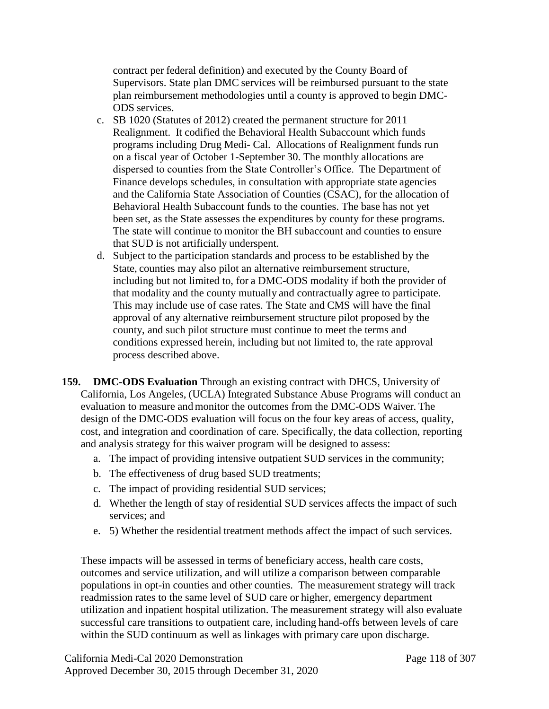contract per federal definition) and executed by the County Board of Supervisors. State plan DMC services will be reimbursed pursuant to the state plan reimbursement methodologies until a county is approved to begin DMC-ODS services.

- c. SB 1020 (Statutes of 2012) created the permanent structure for 2011 Realignment. It codified the Behavioral Health Subaccount which funds programs including Drug Medi- Cal. Allocations of Realignment funds run on a fiscal year of October 1-September 30. The monthly allocations are dispersed to counties from the State Controller's Office. The Department of Finance develops schedules, in consultation with appropriate state agencies and the California State Association of Counties (CSAC), for the allocation of Behavioral Health Subaccount funds to the counties. The base has not yet been set, as the State assesses the expenditures by county for these programs. The state will continue to monitor the BH subaccount and counties to ensure that SUD is not artificially underspent.
- d. Subject to the participation standards and process to be established by the State, counties may also pilot an alternative reimbursement structure, including but not limited to, for a DMC-ODS modality if both the provider of that modality and the county mutually and contractually agree to participate. This may include use of case rates. The State and CMS will have the final approval of any alternative reimbursement structure pilot proposed by the county, and such pilot structure must continue to meet the terms and conditions expressed herein, including but not limited to, the rate approval process described above.
- **159. DMC-ODS Evaluation** Through an existing contract with DHCS, University of California, Los Angeles, (UCLA) Integrated Substance Abuse Programs will conduct an evaluation to measure andmonitor the outcomes from the DMC-ODS Waiver. The design of the DMC-ODS evaluation will focus on the four key areas of access, quality, cost, and integration and coordination of care. Specifically, the data collection, reporting and analysis strategy for this waiver program will be designed to assess:
	- a. The impact of providing intensive outpatient SUD services in the community;
	- b. The effectiveness of drug based SUD treatments;
	- c. The impact of providing residential SUD services;
	- d. Whether the length of stay of residential SUD services affects the impact of such services; and
	- e. 5) Whether the residential treatment methods affect the impact of such services.

These impacts will be assessed in terms of beneficiary access, health care costs, outcomes and service utilization, and will utilize a comparison between comparable populations in opt-in counties and other counties. The measurement strategy will track readmission rates to the same level of SUD care or higher, emergency department utilization and inpatient hospital utilization. The measurement strategy will also evaluate successful care transitions to outpatient care, including hand-offs between levels of care within the SUD continuum as well as linkages with primary care upon discharge.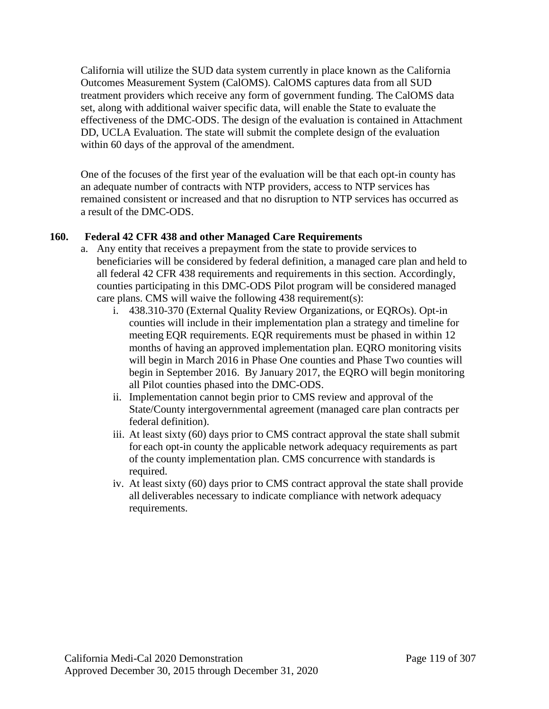California will utilize the SUD data system currently in place known as the California Outcomes Measurement System (CalOMS). CalOMS captures data from all SUD treatment providers which receive any form of government funding. The CalOMS data set, along with additional waiver specific data, will enable the State to evaluate the effectiveness of the DMC-ODS. The design of the evaluation is contained in Attachment DD, UCLA Evaluation. The state will submit the complete design of the evaluation within 60 days of the approval of the amendment.

One of the focuses of the first year of the evaluation will be that each opt-in county has an adequate number of contracts with NTP providers, access to NTP services has remained consistent or increased and that no disruption to NTP services has occurred as a result of the DMC-ODS.

## **160. Federal 42 CFR 438 and other Managed Care Requirements**

- a. Any entity that receives a prepayment from the state to provide services to beneficiaries will be considered by federal definition, a managed care plan and held to all federal 42 CFR 438 requirements and requirements in this section. Accordingly, counties participating in this DMC-ODS Pilot program will be considered managed care plans. CMS will waive the following 438 requirement(s):
	- i. 438.310-370 (External Quality Review Organizations, or EQROs). Opt-in counties will include in their implementation plan a strategy and timeline for meeting EQR requirements. EQR requirements must be phased in within 12 months of having an approved implementation plan. EQRO monitoring visits will begin in March 2016 in Phase One counties and Phase Two counties will begin in September 2016. By January 2017, the EQRO will begin monitoring all Pilot counties phased into the DMC-ODS.
	- ii. Implementation cannot begin prior to CMS review and approval of the State/County intergovernmental agreement (managed care plan contracts per federal definition).
	- iii. At least sixty (60) days prior to CMS contract approval the state shall submit for each opt-in county the applicable network adequacy requirements as part of the county implementation plan. CMS concurrence with standards is required.
	- iv. At least sixty (60) days prior to CMS contract approval the state shall provide all deliverables necessary to indicate compliance with network adequacy requirements.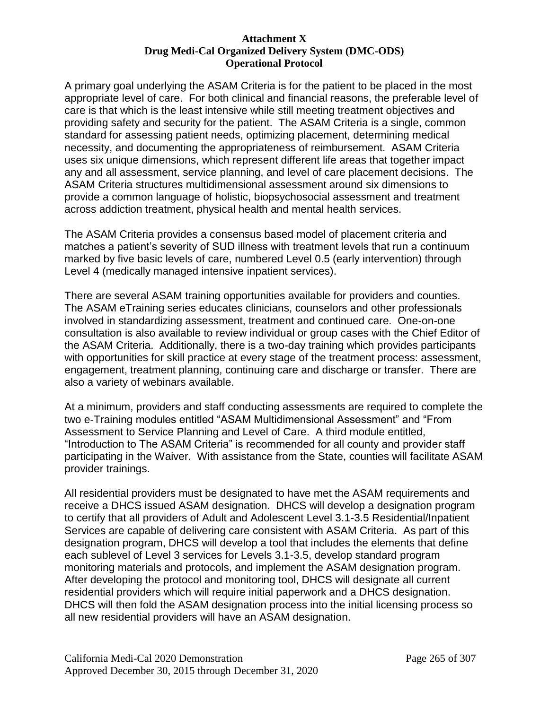#### **Attachment X Drug Medi-Cal Organized Delivery System (DMC-ODS) Operational Protocol**

A primary goal underlying the ASAM Criteria is for the patient to be placed in the most appropriate level of care. For both clinical and financial reasons, the preferable level of care is that which is the least intensive while still meeting treatment objectives and providing safety and security for the patient. The ASAM Criteria is a single, common standard for assessing patient needs, optimizing placement, determining medical necessity, and documenting the appropriateness of reimbursement. ASAM Criteria uses six unique dimensions, which represent different life areas that together impact any and all assessment, service planning, and level of care placement decisions. The ASAM Criteria structures multidimensional assessment around six dimensions to provide a common language of holistic, biopsychosocial assessment and treatment across addiction treatment, physical health and mental health services.

The ASAM Criteria provides a consensus based model of placement criteria and matches a patient's severity of SUD illness with treatment levels that run a continuum marked by five basic levels of care, numbered Level 0.5 (early intervention) through Level 4 (medically managed intensive inpatient services).

There are several ASAM training opportunities available for providers and counties. The ASAM eTraining series educates clinicians, counselors and other professionals involved in standardizing assessment, treatment and continued care. One-on-one consultation is also available to review individual or group cases with the Chief Editor of the ASAM Criteria. Additionally, there is a two-day training which provides participants with opportunities for skill practice at every stage of the treatment process: assessment, engagement, treatment planning, continuing care and discharge or transfer. There are also a variety of webinars available.

At a minimum, providers and staff conducting assessments are required to complete the two e-Training modules entitled "ASAM Multidimensional Assessment" and "From Assessment to Service Planning and Level of Care. A third module entitled, "Introduction to The ASAM Criteria" is recommended for all county and provider staff participating in the Waiver. With assistance from the State, counties will facilitate ASAM provider trainings.

All residential providers must be designated to have met the ASAM requirements and receive a DHCS issued ASAM designation. DHCS will develop a designation program to certify that all providers of Adult and Adolescent Level 3.1-3.5 Residential/Inpatient Services are capable of delivering care consistent with ASAM Criteria. As part of this designation program, DHCS will develop a tool that includes the elements that define each sublevel of Level 3 services for Levels 3.1-3.5, develop standard program monitoring materials and protocols, and implement the ASAM designation program. After developing the protocol and monitoring tool, DHCS will designate all current residential providers which will require initial paperwork and a DHCS designation. DHCS will then fold the ASAM designation process into the initial licensing process so all new residential providers will have an ASAM designation.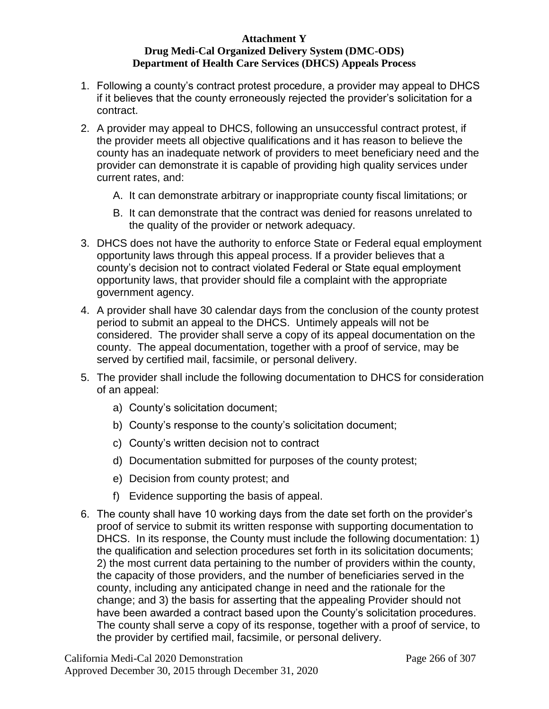#### **Attachment Y Drug Medi-Cal Organized Delivery System (DMC-ODS) Department of Health Care Services (DHCS) Appeals Process**

- 1. Following a county's contract protest procedure, a provider may appeal to DHCS if it believes that the county erroneously rejected the provider's solicitation for a contract.
- 2. A provider may appeal to DHCS, following an unsuccessful contract protest, if the provider meets all objective qualifications and it has reason to believe the county has an inadequate network of providers to meet beneficiary need and the provider can demonstrate it is capable of providing high quality services under current rates, and:
	- A. It can demonstrate arbitrary or inappropriate county fiscal limitations; or
	- B. It can demonstrate that the contract was denied for reasons unrelated to the quality of the provider or network adequacy.
- 3. DHCS does not have the authority to enforce State or Federal equal employment opportunity laws through this appeal process. If a provider believes that a county's decision not to contract violated Federal or State equal employment opportunity laws, that provider should file a complaint with the appropriate government agency.
- 4. A provider shall have 30 calendar days from the conclusion of the county protest period to submit an appeal to the DHCS. Untimely appeals will not be considered. The provider shall serve a copy of its appeal documentation on the county. The appeal documentation, together with a proof of service, may be served by certified mail, facsimile, or personal delivery.
- 5. The provider shall include the following documentation to DHCS for consideration of an appeal:
	- a) County's solicitation document;
	- b) County's response to the county's solicitation document;
	- c) County's written decision not to contract
	- d) Documentation submitted for purposes of the county protest;
	- e) Decision from county protest; and
	- f) Evidence supporting the basis of appeal.
- 6. The county shall have 10 working days from the date set forth on the provider's proof of service to submit its written response with supporting documentation to DHCS. In its response, the County must include the following documentation: 1) the qualification and selection procedures set forth in its solicitation documents; 2) the most current data pertaining to the number of providers within the county, the capacity of those providers, and the number of beneficiaries served in the county, including any anticipated change in need and the rationale for the change; and 3) the basis for asserting that the appealing Provider should not have been awarded a contract based upon the County's solicitation procedures. The county shall serve a copy of its response, together with a proof of service, to the provider by certified mail, facsimile, or personal delivery.